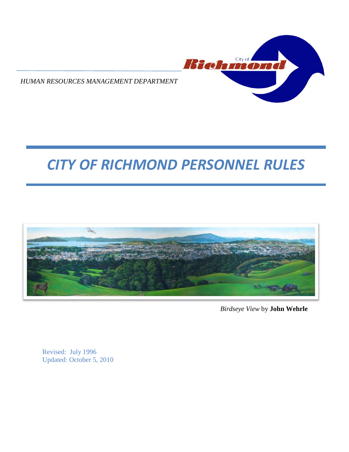

*HUMAN RESOURCES MANAGEMENT DEPARTMENT*

# *CITY OF RICHMOND PERSONNEL RULES*



*Birdseye View* by **John Wehrle**

Revised: July 1996 Updated: October 5, 2010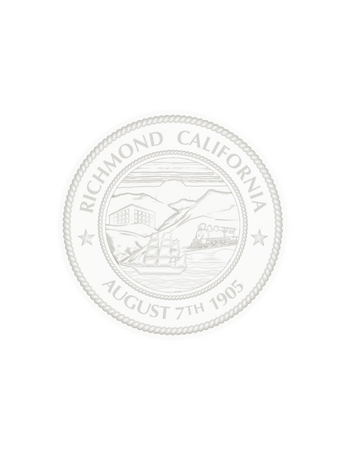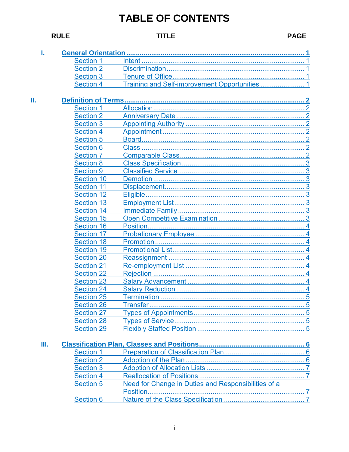## **RULE**

## **TITLE**

**PAGE** 

| ı. | <b>General Orientation </b> |                                                     |
|----|-----------------------------|-----------------------------------------------------|
|    | <b>Section 1</b>            |                                                     |
|    | <b>Section 2</b>            |                                                     |
|    | <b>Section 3</b>            |                                                     |
|    | <b>Section 4</b>            |                                                     |
|    |                             |                                                     |
|    | <b>Section 1</b>            |                                                     |
|    | <b>Section 2</b>            |                                                     |
|    | <b>Section 3</b>            | $\ldots$ 2                                          |
|    | <b>Section 4</b>            |                                                     |
|    | <b>Section 5</b>            |                                                     |
|    | <b>Section 6</b>            |                                                     |
|    | <b>Section 7</b>            |                                                     |
|    | <b>Section 8</b>            |                                                     |
|    | <b>Section 9</b>            |                                                     |
|    | <b>Section 10</b>           |                                                     |
|    | <b>Section 11</b>           |                                                     |
|    | <b>Section 12</b>           |                                                     |
|    | <b>Section 13</b>           |                                                     |
|    | <b>Section 14</b>           |                                                     |
|    | <b>Section 15</b>           |                                                     |
|    | <b>Section 16</b>           |                                                     |
|    | <b>Section 17</b>           |                                                     |
|    | <b>Section 18</b>           |                                                     |
|    | <b>Section 19</b>           |                                                     |
|    | <b>Section 20</b>           |                                                     |
|    | <b>Section 21</b>           |                                                     |
|    | <b>Section 22</b>           |                                                     |
|    | <b>Section 23</b>           |                                                     |
|    | <b>Section 24</b>           |                                                     |
|    | <b>Section 25</b>           |                                                     |
|    |                             |                                                     |
|    | <b>Section 26</b>           |                                                     |
|    | <b>Section 27</b>           |                                                     |
|    | <b>Section 28</b>           |                                                     |
|    | <b>Section 29</b>           |                                                     |
| Ш. |                             |                                                     |
|    | <b>Section 1</b>            |                                                     |
|    | <b>Section 2</b>            |                                                     |
|    | <b>Section 3</b>            |                                                     |
|    | <b>Section 4</b>            |                                                     |
|    | <b>Section 5</b>            | Need for Change in Duties and Responsibilities of a |
|    |                             |                                                     |
|    | <b>Section 6</b>            |                                                     |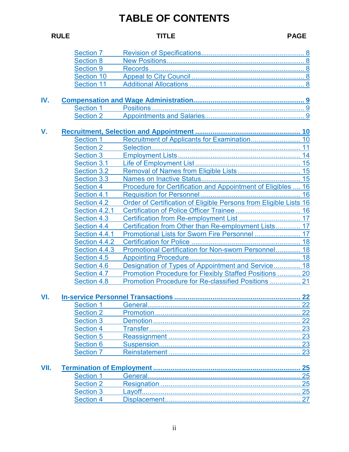| <b>RULE</b> |                    | <b>TITLE</b>                                                      | <b>PAGE</b>     |
|-------------|--------------------|-------------------------------------------------------------------|-----------------|
|             | <b>Section 7</b>   |                                                                   |                 |
|             | <b>Section 8</b>   |                                                                   |                 |
|             | <b>Section 9</b>   |                                                                   |                 |
|             | <b>Section 10</b>  |                                                                   |                 |
|             | <b>Section 11</b>  |                                                                   |                 |
| IV.         |                    |                                                                   |                 |
|             | <b>Section 1</b>   |                                                                   |                 |
|             | <b>Section 2</b>   |                                                                   |                 |
| V.          |                    |                                                                   |                 |
|             | <b>Section 1</b>   |                                                                   |                 |
|             | <b>Section 2</b>   |                                                                   | 11              |
|             | <b>Section 3</b>   |                                                                   |                 |
|             | Section 3.1        |                                                                   |                 |
|             | <b>Section 3.2</b> | Removal of Names from Eligible Lists 15                           |                 |
|             | <b>Section 3.3</b> |                                                                   |                 |
|             | <b>Section 4</b>   | Procedure for Certification and Appointment of Eligibles  16      |                 |
|             | <b>Section 4.1</b> |                                                                   | 16              |
|             | <b>Section 4.2</b> | Order of Certification of Eligible Persons from Eligible Lists 16 |                 |
|             | Section 4.2.1      |                                                                   |                 |
|             | <b>Section 4.3</b> |                                                                   |                 |
|             | Section 4.4        | Certification from Other than Re-employment Lists 17              |                 |
|             | Section 4.4.1      | Promotional Lists for Sworn Fire Personnel  17                    |                 |
|             | Section 4.4.2      |                                                                   |                 |
|             | Section 4.4.3      | Promotional Certification for Non-sworn Personnel 18              |                 |
|             | Section 4.5        |                                                                   |                 |
|             | <b>Section 4.6</b> | Designation of Types of Appointment and Service 18                |                 |
|             | <b>Section 4.7</b> | Promotion Procedure for Flexibly Staffed Positions  20            |                 |
|             | <b>Section 4.8</b> |                                                                   |                 |
| VI.         |                    |                                                                   | 22              |
|             | <b>Section 1</b>   | General.                                                          | 22              |
|             | <b>Section 2</b>   |                                                                   | 22              |
|             | <b>Section 3</b>   |                                                                   | 22              |
|             | <b>Section 4</b>   |                                                                   | 23              |
|             | <b>Section 5</b>   |                                                                   | $\overline{23}$ |
|             | <b>Section 6</b>   |                                                                   | 23              |
|             | <b>Section 7</b>   |                                                                   | 23              |
| VII.        |                    |                                                                   | 25              |
|             | <b>Section 1</b>   |                                                                   | 25              |
|             | <b>Section 2</b>   |                                                                   | 25              |
|             | <b>Section 3</b>   |                                                                   | 25              |
|             | <b>Section 4</b>   | Displacement.                                                     | 27              |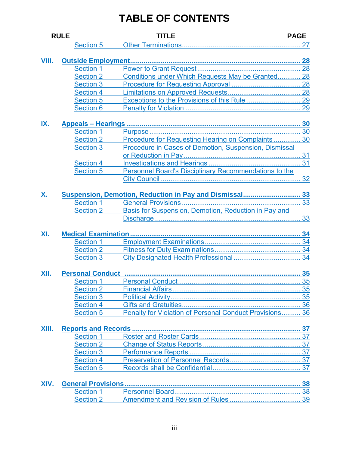|       | <b>RULE</b>             | <b>TITLE</b>                                            | <b>PAGE</b> |
|-------|-------------------------|---------------------------------------------------------|-------------|
|       | <b>Section 5</b>        |                                                         |             |
|       |                         |                                                         |             |
| VIII. |                         |                                                         |             |
|       | <b>Section 1</b>        |                                                         |             |
|       | <b>Section 2</b>        | Conditions under Which Requests May be Granted 28       |             |
|       | <b>Section 3</b>        |                                                         |             |
|       | <b>Section 4</b>        |                                                         |             |
|       | <b>Section 5</b>        |                                                         |             |
|       | <b>Section 6</b>        |                                                         |             |
|       |                         |                                                         |             |
| IX.   |                         |                                                         |             |
|       | <b>Section 1</b>        |                                                         |             |
|       | <b>Section 2</b>        | Procedure for Requesting Hearing on Complaints  30      |             |
|       | <b>Section 3</b>        | Procedure in Cases of Demotion, Suspension, Dismissal   |             |
|       |                         |                                                         |             |
|       | <b>Section 4</b>        |                                                         |             |
|       | <b>Section 5</b>        | Personnel Board's Disciplinary Recommendations to the   |             |
|       |                         |                                                         |             |
|       |                         |                                                         |             |
| Х.    |                         | Suspension, Demotion, Reduction in Pay and Dismissal 33 |             |
|       | <b>Section 1</b>        |                                                         |             |
|       | <b>Section 2</b>        | Basis for Suspension, Demotion, Reduction in Pay and    |             |
|       |                         |                                                         |             |
|       |                         |                                                         |             |
| XI.   |                         |                                                         |             |
|       | <b>Section 1</b>        |                                                         |             |
|       | <b>Section 2</b>        |                                                         |             |
|       | <b>Section 3</b>        |                                                         |             |
|       |                         |                                                         |             |
| XII.  | <b>Personal Conduct</b> |                                                         |             |
|       | <b>Section 1</b>        |                                                         |             |
|       | <b>Section 2</b>        |                                                         |             |
|       | <b>Section 3</b>        |                                                         |             |
|       | <b>Section 4</b>        |                                                         |             |
|       | <b>Section 5</b>        | Penalty for Violation of Personal Conduct Provisions 36 |             |
|       |                         |                                                         |             |
| XIII. |                         |                                                         |             |
|       | <b>Section 1</b>        |                                                         |             |
|       | <b>Section 2</b>        |                                                         |             |
|       | <b>Section 3</b>        |                                                         |             |
|       | <b>Section 4</b>        |                                                         |             |
|       | <b>Section 5</b>        |                                                         |             |
|       |                         |                                                         |             |
| XIV.  |                         |                                                         |             |
|       | <b>Section 1</b>        |                                                         |             |
|       | <b>Section 2</b>        |                                                         |             |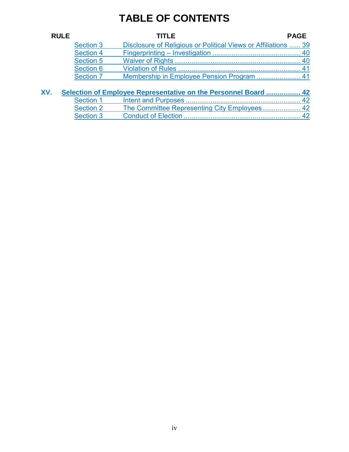| <b>RULE</b> |                  | TITLE                                                           | <b>PAGE</b> |
|-------------|------------------|-----------------------------------------------------------------|-------------|
|             | <b>Section 3</b> | Disclosure of Religious or Political Views or Affiliations  39  |             |
|             | <b>Section 4</b> |                                                                 |             |
|             | <b>Section 5</b> |                                                                 |             |
|             | <b>Section 6</b> |                                                                 |             |
|             | <b>Section 7</b> |                                                                 |             |
| XV.         |                  | Selection of Employee Representative on the Personnel Board  42 |             |
|             | <b>Section 1</b> |                                                                 |             |
|             | <b>Section 2</b> | The Committee Representing City Employees 42                    |             |
|             | <b>Section 3</b> |                                                                 |             |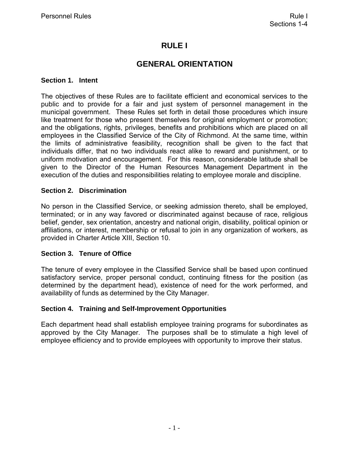## **RULE I**

## **GENERAL ORIENTATION**

#### <span id="page-6-0"></span>**Section 1. Intent**

The objectives of these Rules are to facilitate efficient and economical services to the public and to provide for a fair and just system of personnel management in the municipal government. These Rules set forth in detail those procedures which insure like treatment for those who present themselves for original employment or promotion; and the obligations, rights, privileges, benefits and prohibitions which are placed on all employees in the Classified Service of the City of Richmond. At the same time, within the limits of administrative feasibility, recognition shall be given to the fact that individuals differ, that no two individuals react alike to reward and punishment, or to uniform motivation and encouragement. For this reason, considerable latitude shall be given to the Director of the Human Resources Management Department in the execution of the duties and responsibilities relating to employee morale and discipline.

#### **Section 2. Discrimination**

No person in the Classified Service, or seeking admission thereto, shall be employed, terminated; or in any way favored or discriminated against because of race, religious belief, gender, sex orientation, ancestry and national origin, disability, political opinion or affiliations, or interest, membership or refusal to join in any organization of workers, as provided in Charter Article XIII, Section 10.

#### **Section 3. Tenure of Office**

The tenure of every employee in the Classified Service shall be based upon continued satisfactory service, proper personal conduct, continuing fitness for the position (as determined by the department head), existence of need for the work performed, and availability of funds as determined by the City Manager.

#### **Section 4. Training and Self-Improvement Opportunities**

Each department head shall establish employee training programs for subordinates as approved by the City Manager. The purposes shall be to stimulate a high level of employee efficiency and to provide employees with opportunity to improve their status.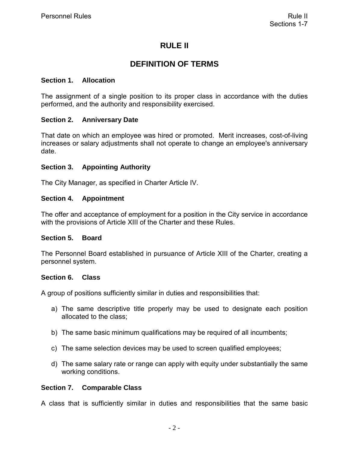## **RULE II**

## **DEFINITION OF TERMS**

#### <span id="page-7-0"></span>**Section 1. Allocation**

The assignment of a single position to its proper class in accordance with the duties performed, and the authority and responsibility exercised.

#### **Section 2. Anniversary Date**

That date on which an employee was hired or promoted. Merit increases, cost-of-living increases or salary adjustments shall not operate to change an employee's anniversary date.

#### **Section 3. Appointing Authority**

The City Manager, as specified in Charter Article IV.

#### **Section 4. Appointment**

The offer and acceptance of employment for a position in the City service in accordance with the provisions of Article XIII of the Charter and these Rules.

#### **Section 5. Board**

The Personnel Board established in pursuance of Article XIII of the Charter, creating a personnel system.

#### **Section 6. Class**

A group of positions sufficiently similar in duties and responsibilities that:

- a) The same descriptive title properly may be used to designate each position allocated to the class;
- b) The same basic minimum qualifications may be required of all incumbents;
- c) The same selection devices may be used to screen qualified employees;
- d) The same salary rate or range can apply with equity under substantially the same working conditions.

#### **Section 7. Comparable Class**

A class that is sufficiently similar in duties and responsibilities that the same basic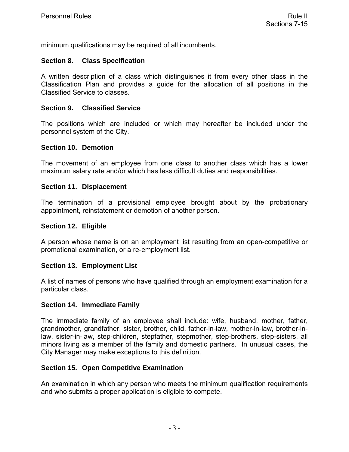<span id="page-8-0"></span>minimum qualifications may be required of all incumbents.

#### **Section 8. Class Specification**

A written description of a class which distinguishes it from every other class in the Classification Plan and provides a guide for the allocation of all positions in the Classified Service to classes.

#### **Section 9. Classified Service**

The positions which are included or which may hereafter be included under the personnel system of the City.

#### **Section 10. Demotion**

The movement of an employee from one class to another class which has a lower maximum salary rate and/or which has less difficult duties and responsibilities.

#### **Section 11. Displacement**

The termination of a provisional employee brought about by the probationary appointment, reinstatement or demotion of another person.

#### **Section 12. Eligible**

A person whose name is on an employment list resulting from an open-competitive or promotional examination, or a re-employment list.

#### **Section 13. Employment List**

A list of names of persons who have qualified through an employment examination for a particular class.

#### **Section 14. Immediate Family**

The immediate family of an employee shall include: wife, husband, mother, father, grandmother, grandfather, sister, brother, child, father-in-law, mother-in-law, brother-inlaw, sister-in-law, step-children, stepfather, stepmother, step-brothers, step-sisters, all minors living as a member of the family and domestic partners. In unusual cases, the City Manager may make exceptions to this definition.

#### **Section 15. Open Competitive Examination**

An examination in which any person who meets the minimum qualification requirements and who submits a proper application is eligible to compete.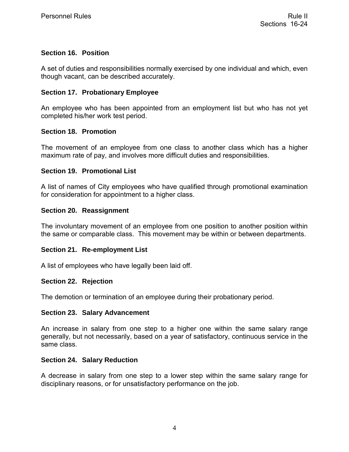#### <span id="page-9-0"></span>**Section 16. Position**

A set of duties and responsibilities normally exercised by one individual and which, even though vacant, can be described accurately.

#### **Section 17. Probationary Employee**

An employee who has been appointed from an employment list but who has not yet completed his/her work test period.

#### **Section 18. Promotion**

The movement of an employee from one class to another class which has a higher maximum rate of pay, and involves more difficult duties and responsibilities.

#### **Section 19. Promotional List**

A list of names of City employees who have qualified through promotional examination for consideration for appointment to a higher class.

#### **Section 20. Reassignment**

The involuntary movement of an employee from one position to another position within the same or comparable class. This movement may be within or between departments.

#### **Section 21. Re-employment List**

A list of employees who have legally been laid off.

#### **Section 22. Rejection**

The demotion or termination of an employee during their probationary period.

#### **Section 23. Salary Advancement**

An increase in salary from one step to a higher one within the same salary range generally, but not necessarily, based on a year of satisfactory, continuous service in the same class.

#### **Section 24. Salary Reduction**

A decrease in salary from one step to a lower step within the same salary range for disciplinary reasons, or for unsatisfactory performance on the job.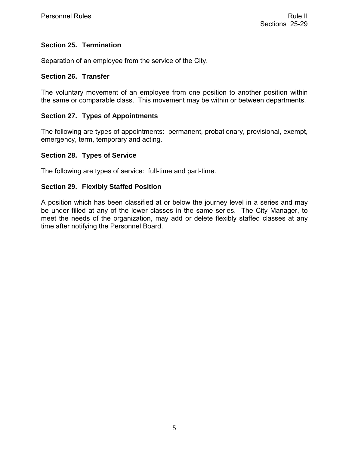#### <span id="page-10-0"></span>**Section 25. Termination**

Separation of an employee from the service of the City.

#### **Section 26. Transfer**

The voluntary movement of an employee from one position to another position within the same or comparable class. This movement may be within or between departments.

#### **Section 27. Types of Appointments**

The following are types of appointments: permanent, probationary, provisional, exempt, emergency, term, temporary and acting.

#### **Section 28. Types of Service**

The following are types of service: full-time and part-time.

#### **Section 29. Flexibly Staffed Position**

A position which has been classified at or below the journey level in a series and may be under filled at any of the lower classes in the same series. The City Manager, to meet the needs of the organization, may add or delete flexibly staffed classes at any time after notifying the Personnel Board.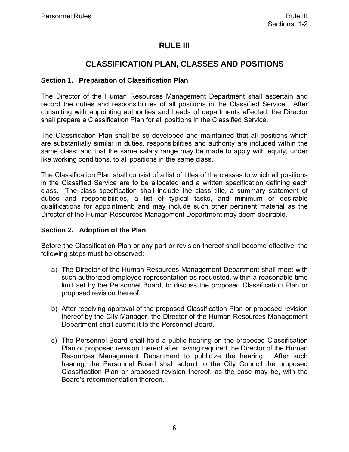## **RULE III**

## **CLASSIFICATION PLAN, CLASSES AND POSITIONS**

#### <span id="page-11-0"></span>**Section 1. Preparation of Classification Plan**

The Director of the Human Resources Management Department shall ascertain and record the duties and responsibilities of all positions in the Classified Service. After consulting with appointing authorities and heads of departments affected, the Director shall prepare a Classification Plan for all positions in the Classified Service.

The Classification Plan shall be so developed and maintained that all positions which are substantially similar in duties, responsibilities and authority are included within the same class; and that the same salary range may be made to apply with equity, under like working conditions, to all positions in the same class.

The Classification Plan shall consist of a list of titles of the classes to which all positions in the Classified Service are to be allocated and a written specification defining each class. The class specification shall include the class title, a summary statement of duties and responsibilities, a list of typical tasks, and minimum or desirable qualifications for appointment; and may include such other pertinent material as the Director of the Human Resources Management Department may deem desirable.

#### **Section 2. Adoption of the Plan**

Before the Classification Plan or any part or revision thereof shall become effective, the following steps must be observed:

- a) The Director of the Human Resources Management Department shall meet with such authorized employee representation as requested, within a reasonable time limit set by the Personnel Board, to discuss the proposed Classification Plan or proposed revision thereof.
- b) After receiving approval of the proposed Classification Plan or proposed revision thereof by the City Manager, the Director of the Human Resources Management Department shall submit it to the Personnel Board.
- c) The Personnel Board shall hold a public hearing on the proposed Classification Plan or proposed revision thereof after having required the Director of the Human Resources Management Department to publicize the hearing. After such hearing, the Personnel Board shall submit to the City Council the proposed Classification Plan or proposed revision thereof, as the case may be, with the Board's recommendation thereon.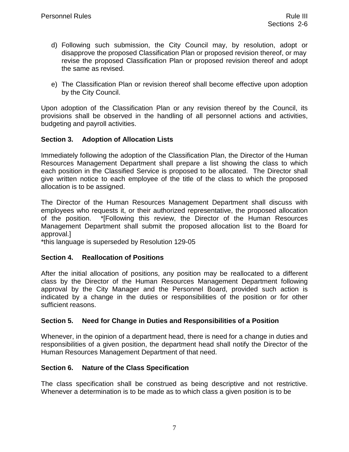- <span id="page-12-0"></span>d) Following such submission, the City Council may, by resolution, adopt or disapprove the proposed Classification Plan or proposed revision thereof, or may revise the proposed Classification Plan or proposed revision thereof and adopt the same as revised.
- e) The Classification Plan or revision thereof shall become effective upon adoption by the City Council.

Upon adoption of the Classification Plan or any revision thereof by the Council, its provisions shall be observed in the handling of all personnel actions and activities, budgeting and payroll activities.

#### **Section 3. Adoption of Allocation Lists**

Immediately following the adoption of the Classification Plan, the Director of the Human Resources Management Department shall prepare a list showing the class to which each position in the Classified Service is proposed to be allocated. The Director shall give written notice to each employee of the title of the class to which the proposed allocation is to be assigned.

The Director of the Human Resources Management Department shall discuss with employees who requests it, or their authorized representative, the proposed allocation of the position. \*[Following this review, the Director of the Human Resources Management Department shall submit the proposed allocation list to the Board for approval.]

\*this language is superseded by Resolution 129-05

#### **Section 4. Reallocation of Positions**

After the initial allocation of positions, any position may be reallocated to a different class by the Director of the Human Resources Management Department following approval by the City Manager and the Personnel Board, provided such action is indicated by a change in the duties or responsibilities of the position or for other sufficient reasons.

#### **Section 5. Need for Change in Duties and Responsibilities of a Position**

Whenever, in the opinion of a department head, there is need for a change in duties and responsibilities of a given position, the department head shall notify the Director of the Human Resources Management Department of that need.

#### **Section 6. Nature of the Class Specification**

The class specification shall be construed as being descriptive and not restrictive. Whenever a determination is to be made as to which class a given position is to be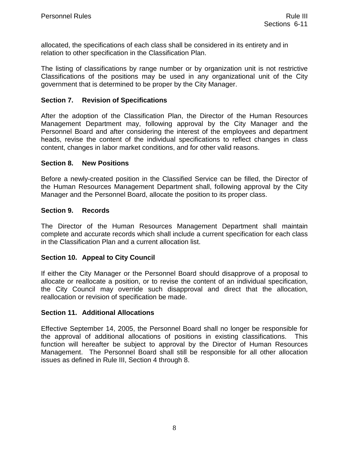<span id="page-13-0"></span>allocated, the specifications of each class shall be considered in its entirety and in relation to other specification in the Classification Plan.

The listing of classifications by range number or by organization unit is not restrictive Classifications of the positions may be used in any organizational unit of the City government that is determined to be proper by the City Manager.

#### **Section 7. Revision of Specifications**

After the adoption of the Classification Plan, the Director of the Human Resources Management Department may, following approval by the City Manager and the Personnel Board and after considering the interest of the employees and department heads, revise the content of the individual specifications to reflect changes in class content, changes in labor market conditions, and for other valid reasons.

#### **Section 8. New Positions**

Before a newly-created position in the Classified Service can be filled, the Director of the Human Resources Management Department shall, following approval by the City Manager and the Personnel Board, allocate the position to its proper class.

#### **Section 9. Records**

The Director of the Human Resources Management Department shall maintain complete and accurate records which shall include a current specification for each class in the Classification Plan and a current allocation list.

#### **Section 10. Appeal to City Council**

If either the City Manager or the Personnel Board should disapprove of a proposal to allocate or reallocate a position, or to revise the content of an individual specification, the City Council may override such disapproval and direct that the allocation, reallocation or revision of specification be made.

#### **Section 11. Additional Allocations**

Effective September 14, 2005, the Personnel Board shall no longer be responsible for the approval of additional allocations of positions in existing classifications. This function will hereafter be subject to approval by the Director of Human Resources Management. The Personnel Board shall still be responsible for all other allocation issues as defined in Rule III, Section 4 through 8.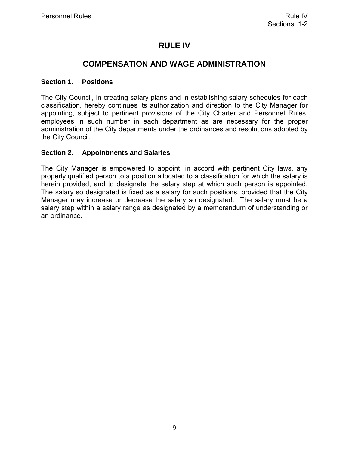## **RULE IV**

## **COMPENSATION AND WAGE ADMINISTRATION**

#### <span id="page-14-0"></span>**Section 1. Positions**

The City Council, in creating salary plans and in establishing salary schedules for each classification, hereby continues its authorization and direction to the City Manager for appointing, subject to pertinent provisions of the City Charter and Personnel Rules, employees in such number in each department as are necessary for the proper administration of the City departments under the ordinances and resolutions adopted by the City Council.

#### **Section 2. Appointments and Salaries**

The City Manager is empowered to appoint, in accord with pertinent City laws, any properly qualified person to a position allocated to a classification for which the salary is herein provided, and to designate the salary step at which such person is appointed. The salary so designated is fixed as a salary for such positions, provided that the City Manager may increase or decrease the salary so designated. The salary must be a salary step within a salary range as designated by a memorandum of understanding or an ordinance.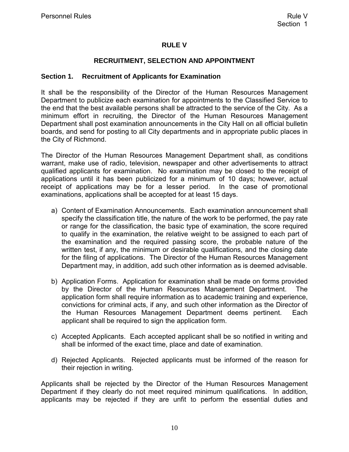#### **RULE V**

#### **RECRUITMENT, SELECTION AND APPOINTMENT**

#### <span id="page-15-0"></span>**Section 1. Recruitment of Applicants for Examination**

It shall be the responsibility of the Director of the Human Resources Management Department to publicize each examination for appointments to the Classified Service to the end that the best available persons shall be attracted to the service of the City. As a minimum effort in recruiting, the Director of the Human Resources Management Department shall post examination announcements in the City Hall on all official bulletin boards, and send for posting to all City departments and in appropriate public places in the City of Richmond.

The Director of the Human Resources Management Department shall, as conditions warrant, make use of radio, television, newspaper and other advertisements to attract qualified applicants for examination. No examination may be closed to the receipt of applications until it has been publicized for a minimum of 10 days; however, actual receipt of applications may be for a lesser period. In the case of promotional examinations, applications shall be accepted for at least 15 days.

- a) Content of Examination Announcements. Each examination announcement shall specify the classification title, the nature of the work to be performed, the pay rate or range for the classification, the basic type of examination, the score required to qualify in the examination, the relative weight to be assigned to each part of the examination and the required passing score, the probable nature of the written test, if any, the minimum or desirable qualifications, and the closing date for the filing of applications. The Director of the Human Resources Management Department may, in addition, add such other information as is deemed advisable.
- b) Application Forms. Application for examination shall be made on forms provided by the Director of the Human Resources Management Department. The application form shall require information as to academic training and experience, convictions for criminal acts, if any, and such other information as the Director of the Human Resources Management Department deems pertinent. Each applicant shall be required to sign the application form.
- c) Accepted Applicants. Each accepted applicant shall be so notified in writing and shall be informed of the exact time, place and date of examination.
- d) Rejected Applicants. Rejected applicants must be informed of the reason for their rejection in writing.

Applicants shall be rejected by the Director of the Human Resources Management Department if they clearly do not meet required minimum qualifications. In addition, applicants may be rejected if they are unfit to perform the essential duties and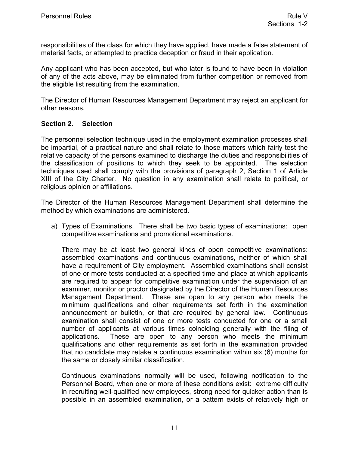<span id="page-16-0"></span>responsibilities of the class for which they have applied, have made a false statement of material facts, or attempted to practice deception or fraud in their application.

Any applicant who has been accepted, but who later is found to have been in violation of any of the acts above, may be eliminated from further competition or removed from the eligible list resulting from the examination.

The Director of Human Resources Management Department may reject an applicant for other reasons.

#### **Section 2. Selection**

The personnel selection technique used in the employment examination processes shall be impartial, of a practical nature and shall relate to those matters which fairly test the relative capacity of the persons examined to discharge the duties and responsibilities of the classification of positions to which they seek to be appointed. The selection techniques used shall comply with the provisions of paragraph 2, Section 1 of Article XIII of the City Charter. No question in any examination shall relate to political, or religious opinion or affiliations.

The Director of the Human Resources Management Department shall determine the method by which examinations are administered.

a) Types of Examinations. There shall be two basic types of examinations: open competitive examinations and promotional examinations.

There may be at least two general kinds of open competitive examinations: assembled examinations and continuous examinations, neither of which shall have a requirement of City employment. Assembled examinations shall consist of one or more tests conducted at a specified time and place at which applicants are required to appear for competitive examination under the supervision of an examiner, monitor or proctor designated by the Director of the Human Resources Management Department. These are open to any person who meets the minimum qualifications and other requirements set forth in the examination announcement or bulletin, or that are required by general law. Continuous examination shall consist of one or more tests conducted for one or a small number of applicants at various times coinciding generally with the filing of applications. These are open to any person who meets the minimum qualifications and other requirements as set forth in the examination provided that no candidate may retake a continuous examination within six (6) months for the same or closely similar classification.

Continuous examinations normally will be used, following notification to the Personnel Board, when one or more of these conditions exist: extreme difficulty in recruiting well-qualified new employees, strong need for quicker action than is possible in an assembled examination, or a pattern exists of relatively high or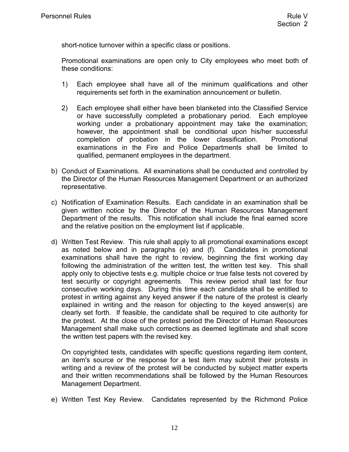<span id="page-17-0"></span>short-notice turnover within a specific class or positions.

Promotional examinations are open only to City employees who meet both of these conditions:

- 1) Each employee shall have all of the minimum qualifications and other requirements set forth in the examination announcement or bulletin.
- 2) Each employee shall either have been blanketed into the Classified Service or have successfully completed a probationary period. Each employee working under a probationary appointment may take the examination; however, the appointment shall be conditional upon his/her successful completion of probation in the lower classification. Promotional examinations in the Fire and Police Departments shall be limited to qualified, permanent employees in the department.
- b) Conduct of Examinations. All examinations shall be conducted and controlled by the Director of the Human Resources Management Department or an authorized representative.
- c) Notification of Examination Results. Each candidate in an examination shall be given written notice by the Director of the Human Resources Management Department of the results. This notification shall include the final earned score and the relative position on the employment list if applicable.
- d) Written Test Review. This rule shall apply to all promotional examinations except as noted below and in paragraphs (e) and (f). Candidates in promotional examinations shall have the right to review, beginning the first working day following the administration of the written test, the written test key. This shall apply only to objective tests e.g. multiple choice or true false tests not covered by test security or copyright agreements. This review period shall last for four consecutive working days. During this time each candidate shall be entitled to protest in writing against any keyed answer if the nature of the protest is clearly explained in writing and the reason for objecting to the keyed answer(s) are clearly set forth. If feasible, the candidate shall be required to cite authority for the protest. At the close of the protest period the Director of Human Resources Management shall make such corrections as deemed legitimate and shall score the written test papers with the revised key.

On copyrighted tests, candidates with specific questions regarding item content, an item's source or the response for a test item may submit their protests in writing and a review of the protest will be conducted by subject matter experts and their written recommendations shall be followed by the Human Resources Management Department.

e) Written Test Key Review. Candidates represented by the Richmond Police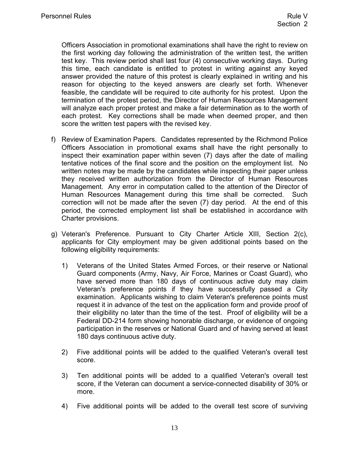<span id="page-18-0"></span>Officers Association in promotional examinations shall have the right to review on the first working day following the administration of the written test, the written test key. This review period shall last four (4) consecutive working days. During this time, each candidate is entitled to protest in writing against any keyed answer provided the nature of this protest is clearly explained in writing and his reason for objecting to the keyed answers are clearly set forth. Whenever feasible, the candidate will be required to cite authority for his protest. Upon the termination of the protest period, the Director of Human Resources Management will analyze each proper protest and make a fair determination as to the worth of each protest. Key corrections shall be made when deemed proper, and then score the written test papers with the revised key.

- f) Review of Examination Papers. Candidates represented by the Richmond Police Officers Association in promotional exams shall have the right personally to inspect their examination paper within seven (7) days after the date of mailing tentative notices of the final score and the position on the employment list. No written notes may be made by the candidates while inspecting their paper unless they received written authorization from the Director of Human Resources Management. Any error in computation called to the attention of the Director of Human Resources Management during this time shall be corrected. Such correction will not be made after the seven (7) day period. At the end of this period, the corrected employment list shall be established in accordance with Charter provisions.
- g) Veteran's Preference. Pursuant to City Charter Article XIII, Section 2(c), applicants for City employment may be given additional points based on the following eligibility requirements:
	- 1) Veterans of the United States Armed Forces, or their reserve or National Guard components (Army, Navy, Air Force, Marines or Coast Guard), who have served more than 180 days of continuous active duty may claim Veteran's preference points if they have successfully passed a City examination. Applicants wishing to claim Veteran's preference points must request it in advance of the test on the application form and provide proof of their eligibility no later than the time of the test. Proof of eligibility will be a Federal DD-214 form showing honorable discharge, or evidence of ongoing participation in the reserves or National Guard and of having served at least 180 days continuous active duty.
	- 2) Five additional points will be added to the qualified Veteran's overall test score.
	- 3) Ten additional points will be added to a qualified Veteran's overall test score, if the Veteran can document a service-connected disability of 30% or more.
	- 4) Five additional points will be added to the overall test score of surviving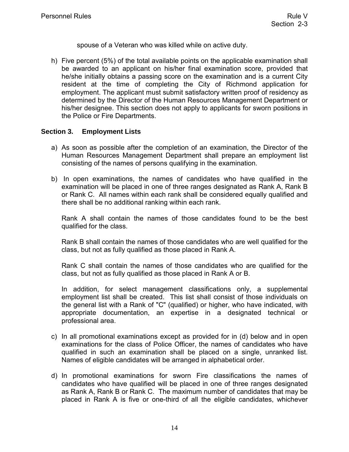spouse of a Veteran who was killed while on active duty.

<span id="page-19-0"></span>h) Five percent (5%) of the total available points on the applicable examination shall be awarded to an applicant on his/her final examination score, provided that he/she initially obtains a passing score on the examination and is a current City resident at the time of completing the City of Richmond application for employment. The applicant must submit satisfactory written proof of residency as determined by the Director of the Human Resources Management Department or his/her designee. This section does not apply to applicants for sworn positions in the Police or Fire Departments.

#### **Section 3. Employment Lists**

- a) As soon as possible after the completion of an examination, the Director of the Human Resources Management Department shall prepare an employment list consisting of the names of persons qualifying in the examination.
- b) In open examinations, the names of candidates who have qualified in the examination will be placed in one of three ranges designated as Rank A, Rank B or Rank C. All names within each rank shall be considered equally qualified and there shall be no additional ranking within each rank.

Rank A shall contain the names of those candidates found to be the best qualified for the class.

Rank B shall contain the names of those candidates who are well qualified for the class, but not as fully qualified as those placed in Rank A.

Rank C shall contain the names of those candidates who are qualified for the class, but not as fully qualified as those placed in Rank A or B.

In addition, for select management classifications only, a supplemental employment list shall be created. This list shall consist of those individuals on the general list with a Rank of "C" (qualified) or higher, who have indicated, with appropriate documentation, an expertise in a designated technical or professional area.

- c) In all promotional examinations except as provided for in (d) below and in open examinations for the class of Police Officer, the names of candidates who have qualified in such an examination shall be placed on a single, unranked list. Names of eligible candidates will be arranged in alphabetical order.
- d) In promotional examinations for sworn Fire classifications the names of candidates who have qualified will be placed in one of three ranges designated as Rank A, Rank B or Rank C. The maximum number of candidates that may be placed in Rank A is five or one-third of all the eligible candidates, whichever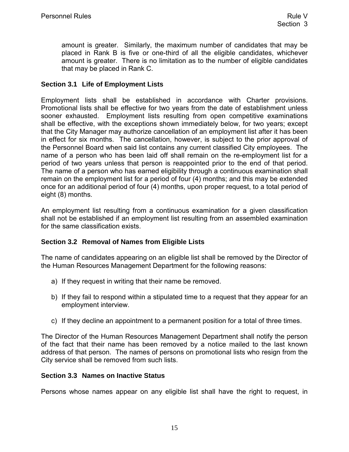<span id="page-20-0"></span>amount is greater. Similarly, the maximum number of candidates that may be placed in Rank B is five or one-third of all the eligible candidates, whichever amount is greater. There is no limitation as to the number of eligible candidates that may be placed in Rank C.

#### **Section 3.1 Life of Employment Lists**

Employment lists shall be established in accordance with Charter provisions. Promotional lists shall be effective for two years from the date of establishment unless sooner exhausted. Employment lists resulting from open competitive examinations shall be effective, with the exceptions shown immediately below, for two years; except that the City Manager may authorize cancellation of an employment list after it has been in effect for six months. The cancellation, however, is subject to the prior approval of the Personnel Board when said list contains any current classified City employees. The name of a person who has been laid off shall remain on the re-employment list for a period of two years unless that person is reappointed prior to the end of that period. The name of a person who has earned eligibility through a continuous examination shall remain on the employment list for a period of four (4) months; and this may be extended once for an additional period of four (4) months, upon proper request, to a total period of eight (8) months.

An employment list resulting from a continuous examination for a given classification shall not be established if an employment list resulting from an assembled examination for the same classification exists.

#### **Section 3.2 Removal of Names from Eligible Lists**

The name of candidates appearing on an eligible list shall be removed by the Director of the Human Resources Management Department for the following reasons:

- a) If they request in writing that their name be removed.
- b) If they fail to respond within a stipulated time to a request that they appear for an employment interview.
- c) If they decline an appointment to a permanent position for a total of three times.

The Director of the Human Resources Management Department shall notify the person of the fact that their name has been removed by a notice mailed to the last known address of that person. The names of persons on promotional lists who resign from the City service shall be removed from such lists.

#### **Section 3.3 Names on Inactive Status**

Persons whose names appear on any eligible list shall have the right to request, in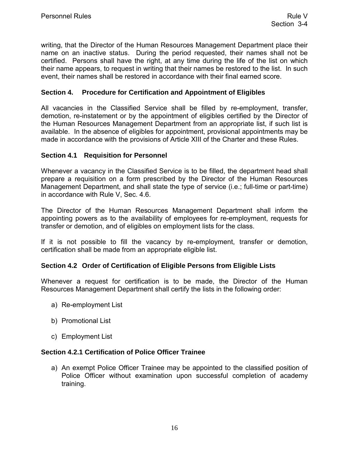<span id="page-21-0"></span>writing, that the Director of the Human Resources Management Department place their name on an inactive status. During the period requested, their names shall not be certified. Persons shall have the right, at any time during the life of the list on which their name appears, to request in writing that their names be restored to the list. In such event, their names shall be restored in accordance with their final earned score.

#### **Section 4. Procedure for Certification and Appointment of Eligibles**

All vacancies in the Classified Service shall be filled by re-employment, transfer, demotion, re-instatement or by the appointment of eligibles certified by the Director of the Human Resources Management Department from an appropriate list, if such list is available. In the absence of eligibles for appointment, provisional appointments may be made in accordance with the provisions of Article XIII of the Charter and these Rules.

#### **Section 4.1 Requisition for Personnel**

Whenever a vacancy in the Classified Service is to be filled, the department head shall prepare a requisition on a form prescribed by the Director of the Human Resources Management Department, and shall state the type of service (i.e.; full-time or part-time) in accordance with Rule V, Sec. 4.6.

The Director of the Human Resources Management Department shall inform the appointing powers as to the availability of employees for re-employment, requests for transfer or demotion, and of eligibles on employment lists for the class.

If it is not possible to fill the vacancy by re-employment, transfer or demotion, certification shall be made from an appropriate eligible list.

#### **Section 4.2 Order of Certification of Eligible Persons from Eligible Lists**

Whenever a request for certification is to be made, the Director of the Human Resources Management Department shall certify the lists in the following order:

- a) Re-employment List
- b) Promotional List
- c) Employment List

#### **Section 4.2.1 Certification of Police Officer Trainee**

a) An exempt Police Officer Trainee may be appointed to the classified position of Police Officer without examination upon successful completion of academy training.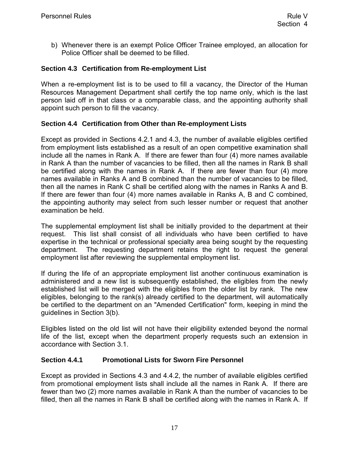<span id="page-22-0"></span>b) Whenever there is an exempt Police Officer Trainee employed, an allocation for Police Officer shall be deemed to be filled.

#### **Section 4.3 Certification from Re-employment List**

When a re-employment list is to be used to fill a vacancy, the Director of the Human Resources Management Department shall certify the top name only, which is the last person laid off in that class or a comparable class, and the appointing authority shall appoint such person to fill the vacancy.

#### **Section 4.4 Certification from Other than Re-employment Lists**

Except as provided in Sections 4.2.1 and 4.3, the number of available eligibles certified from employment lists established as a result of an open competitive examination shall include all the names in Rank A. If there are fewer than four (4) more names available in Rank A than the number of vacancies to be filled, then all the names in Rank B shall be certified along with the names in Rank A. If there are fewer than four (4) more names available in Ranks A and B combined than the number of vacancies to be filled, then all the names in Rank C shall be certified along with the names in Ranks A and B. If there are fewer than four (4) more names available in Ranks A, B and C combined, the appointing authority may select from such lesser number or request that another examination be held.

The supplemental employment list shall be initially provided to the department at their request. This list shall consist of all individuals who have been certified to have expertise in the technical or professional specialty area being sought by the requesting department. The requesting department retains the right to request the general employment list after reviewing the supplemental employment list.

If during the life of an appropriate employment list another continuous examination is administered and a new list is subsequently established, the eligibles from the newly established list will be merged with the eligibles from the older list by rank. The new eligibles, belonging to the rank(s) already certified to the department, will automatically be certified to the department on an "Amended Certification" form, keeping in mind the guidelines in Section 3(b).

Eligibles listed on the old list will not have their eligibility extended beyond the normal life of the list, except when the department properly requests such an extension in accordance with Section 3.1.

#### **Section 4.4.1 Promotional Lists for Sworn Fire Personnel**

Except as provided in Sections 4.3 and 4.4.2, the number of available eligibles certified from promotional employment lists shall include all the names in Rank A. If there are fewer than two (2) more names available in Rank A than the number of vacancies to be filled, then all the names in Rank B shall be certified along with the names in Rank A. If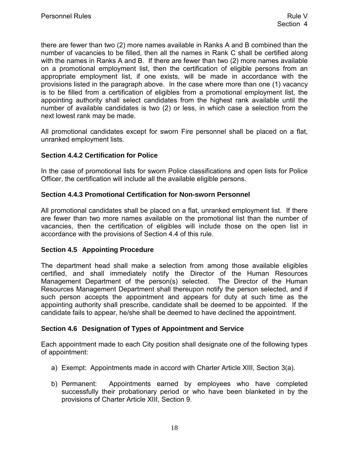<span id="page-23-0"></span>there are fewer than two (2) more names available in Ranks A and B combined than the number of vacancies to be filled, then all the names in Rank C shall be certified along with the names in Ranks A and B. If there are fewer than two (2) more names available on a promotional employment list, then the certification of eligible persons from an appropriate employment list, if one exists, will be made in accordance with the provisions listed in the paragraph above. In the case where more than one (1) vacancy is to be filled from a certification of eligibles from a promotional employment list, the appointing authority shall select candidates from the highest rank available until the number of available candidates is two (2) or less, in which case a selection from the next lowest rank may be made.

All promotional candidates except for sworn Fire personnel shall be placed on a flat, unranked employment lists.

#### **Section 4.4.2 Certification for Police**

In the case of promotional lists for sworn Police classifications and open lists for Police Officer, the certification will include all the available eligible persons.

#### **Section 4.4.3 Promotional Certification for Non-sworn Personnel**

All promotional candidates shall be placed on a flat, unranked employment list. If there are fewer than two more names available on the promotional list than the number of vacancies, then the certification of eligibles will include those on the open list in accordance with the provisions of Section 4.4 of this rule.

#### **Section 4.5 Appointing Procedure**

The department head shall make a selection from among those available eligibles certified, and shall immediately notify the Director of the Human Resources Management Department of the person(s) selected. The Director of the Human Resources Management Department shall thereupon notify the person selected, and if such person accepts the appointment and appears for duty at such time as the appointing authority shall prescribe, candidate shall be deemed to be appointed. If the candidate fails to appear, he/she shall be deemed to have declined the appointment.

#### **Section 4.6 Designation of Types of Appointment and Service**

Each appointment made to each City position shall designate one of the following types of appointment:

- a) Exempt: Appointments made in accord with Charter Article XIII, Section 3(a).
- b) Permanent: Appointments earned by employees who have completed successfully their probationary period or who have been blanketed in by the provisions of Charter Article XIII, Section 9.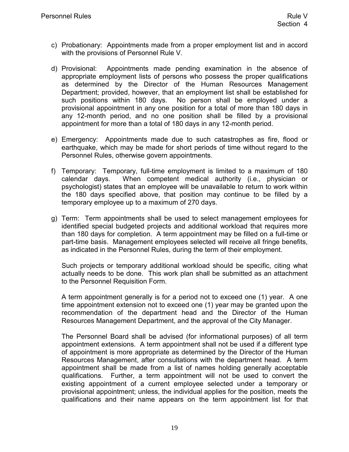- <span id="page-24-0"></span>c) Probationary: Appointments made from a proper employment list and in accord with the provisions of Personnel Rule V.
- d) Provisional: Appointments made pending examination in the absence of appropriate employment lists of persons who possess the proper qualifications as determined by the Director of the Human Resources Management Department; provided, however, that an employment list shall be established for such positions within 180 days. No person shall be employed under a provisional appointment in any one position for a total of more than 180 days in any 12-month period, and no one position shall be filled by a provisional appointment for more than a total of 180 days in any 12-month period.
- e) Emergency: Appointments made due to such catastrophes as fire, flood or earthquake, which may be made for short periods of time without regard to the Personnel Rules, otherwise govern appointments.
- f) Temporary: Temporary, full-time employment is limited to a maximum of 180 calendar days. When competent medical authority (i.e., physician or psychologist) states that an employee will be unavailable to return to work within the 180 days specified above, that position may continue to be filled by a temporary employee up to a maximum of 270 days.
- g) Term: Term appointments shall be used to select management employees for identified special budgeted projects and additional workload that requires more than 180 days for completion. A term appointment may be filled on a full-time or part-time basis. Management employees selected will receive all fringe benefits, as indicated in the Personnel Rules, during the term of their employment.

Such projects or temporary additional workload should be specific, citing what actually needs to be done. This work plan shall be submitted as an attachment to the Personnel Requisition Form.

A term appointment generally is for a period not to exceed one (1) year. A one time appointment extension not to exceed one (1) year may be granted upon the recommendation of the department head and the Director of the Human Resources Management Department, and the approval of the City Manager.

The Personnel Board shall be advised (for informational purposes) of all term appointment extensions. A term appointment shall not be used if a different type of appointment is more appropriate as determined by the Director of the Human Resources Management, after consultations with the department head. A term appointment shall be made from a list of names holding generally acceptable qualifications. Further, a term appointment will not be used to convert the existing appointment of a current employee selected under a temporary or provisional appointment; unless, the individual applies for the position, meets the qualifications and their name appears on the term appointment list for that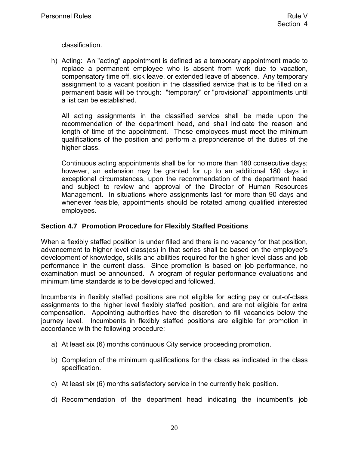<span id="page-25-0"></span>classification.

h) Acting: An "acting" appointment is defined as a temporary appointment made to replace a permanent employee who is absent from work due to vacation, compensatory time off, sick leave, or extended leave of absence. Any temporary assignment to a vacant position in the classified service that is to be filled on a permanent basis will be through: "temporary" or "provisional" appointments until a list can be established.

All acting assignments in the classified service shall be made upon the recommendation of the department head, and shall indicate the reason and length of time of the appointment. These employees must meet the minimum qualifications of the position and perform a preponderance of the duties of the higher class.

Continuous acting appointments shall be for no more than 180 consecutive days; however, an extension may be granted for up to an additional 180 days in exceptional circumstances, upon the recommendation of the department head and subject to review and approval of the Director of Human Resources Management. In situations where assignments last for more than 90 days and whenever feasible, appointments should be rotated among qualified interested employees.

#### **Section 4.7 Promotion Procedure for Flexibly Staffed Positions**

When a flexibly staffed position is under filled and there is no vacancy for that position, advancement to higher level class(es) in that series shall be based on the employee's development of knowledge, skills and abilities required for the higher level class and job performance in the current class. Since promotion is based on job performance, no examination must be announced. A program of regular performance evaluations and minimum time standards is to be developed and followed.

Incumbents in flexibly staffed positions are not eligible for acting pay or out-of-class assignments to the higher level flexibly staffed position, and are not eligible for extra compensation. Appointing authorities have the discretion to fill vacancies below the journey level. Incumbents in flexibly staffed positions are eligible for promotion in accordance with the following procedure:

- a) At least six (6) months continuous City service proceeding promotion.
- b) Completion of the minimum qualifications for the class as indicated in the class specification.
- c) At least six (6) months satisfactory service in the currently held position.
- d) Recommendation of the department head indicating the incumbent's job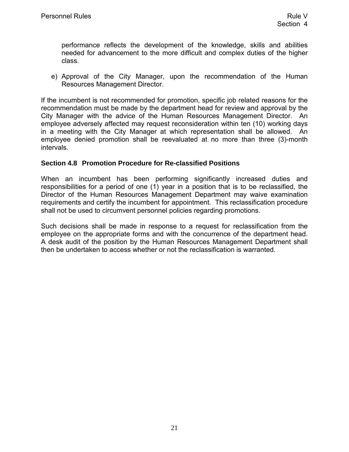<span id="page-26-0"></span>performance reflects the development of the knowledge, skills and abilities needed for advancement to the more difficult and complex duties of the higher class.

e) Approval of the City Manager, upon the recommendation of the Human Resources Management Director.

If the incumbent is not recommended for promotion, specific job related reasons for the recommendation must be made by the department head for review and approval by the City Manager with the advice of the Human Resources Management Director. An employee adversely affected may request reconsideration within ten (10) working days in a meeting with the City Manager at which representation shall be allowed. An employee denied promotion shall be reevaluated at no more than three (3)-month intervals.

#### **Section 4.8 Promotion Procedure for Re-classified Positions**

When an incumbent has been performing significantly increased duties and responsibilities for a period of one (1) year in a position that is to be reclassified, the Director of the Human Resources Management Department may waive examination requirements and certify the incumbent for appointment. This reclassification procedure shall not be used to circumvent personnel policies regarding promotions.

Such decisions shall be made in response to a request for reclassification from the employee on the appropriate forms and with the concurrence of the department head. A desk audit of the position by the Human Resources Management Department shall then be undertaken to access whether or not the reclassification is warranted.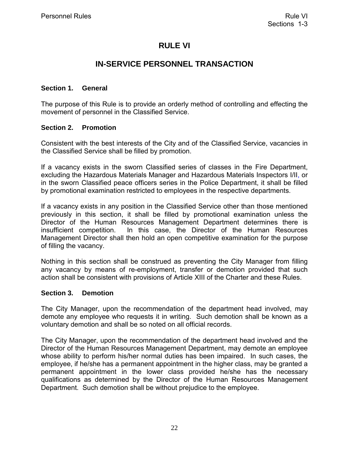## **RULE VI**

## **IN-SERVICE PERSONNEL TRANSACTION**

#### <span id="page-27-0"></span>**Section 1. General**

The purpose of this Rule is to provide an orderly method of controlling and effecting the movement of personnel in the Classified Service.

#### **Section 2. Promotion**

Consistent with the best interests of the City and of the Classified Service, vacancies in the Classified Service shall be filled by promotion.

If a vacancy exists in the sworn Classified series of classes in the Fire Department, excluding the Hazardous Materials Manager and Hazardous Materials Inspectors I/II, or in the sworn Classified peace officers series in the Police Department, it shall be filled by promotional examination restricted to employees in the respective departments.

If a vacancy exists in any position in the Classified Service other than those mentioned previously in this section, it shall be filled by promotional examination unless the Director of the Human Resources Management Department determines there is insufficient competition. In this case, the Director of the Human Resources Management Director shall then hold an open competitive examination for the purpose of filling the vacancy.

Nothing in this section shall be construed as preventing the City Manager from filling any vacancy by means of re-employment, transfer or demotion provided that such action shall be consistent with provisions of Article XIII of the Charter and these Rules.

#### **Section 3. Demotion**

The City Manager, upon the recommendation of the department head involved, may demote any employee who requests it in writing. Such demotion shall be known as a voluntary demotion and shall be so noted on all official records.

The City Manager, upon the recommendation of the department head involved and the Director of the Human Resources Management Department, may demote an employee whose ability to perform his/her normal duties has been impaired. In such cases, the employee, if he/she has a permanent appointment in the higher class, may be granted a permanent appointment in the lower class provided he/she has the necessary qualifications as determined by the Director of the Human Resources Management Department. Such demotion shall be without prejudice to the employee.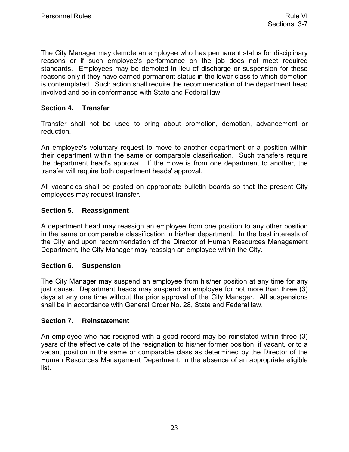<span id="page-28-0"></span>The City Manager may demote an employee who has permanent status for disciplinary reasons or if such employee's performance on the job does not meet required standards. Employees may be demoted in lieu of discharge or suspension for these reasons only if they have earned permanent status in the lower class to which demotion is contemplated. Such action shall require the recommendation of the department head involved and be in conformance with State and Federal law.

#### **Section 4. Transfer**

Transfer shall not be used to bring about promotion, demotion, advancement or reduction.

An employee's voluntary request to move to another department or a position within their department within the same or comparable classification. Such transfers require the department head's approval. If the move is from one department to another, the transfer will require both department heads' approval.

All vacancies shall be posted on appropriate bulletin boards so that the present City employees may request transfer.

#### **Section 5. Reassignment**

A department head may reassign an employee from one position to any other position in the same or comparable classification in his/her department. In the best interests of the City and upon recommendation of the Director of Human Resources Management Department, the City Manager may reassign an employee within the City.

#### **Section 6. Suspension**

The City Manager may suspend an employee from his/her position at any time for any just cause. Department heads may suspend an employee for not more than three (3) days at any one time without the prior approval of the City Manager. All suspensions shall be in accordance with General Order No. 28, State and Federal law.

#### **Section 7. Reinstatement**

An employee who has resigned with a good record may be reinstated within three (3) years of the effective date of the resignation to his/her former position, if vacant, or to a vacant position in the same or comparable class as determined by the Director of the Human Resources Management Department, in the absence of an appropriate eligible list.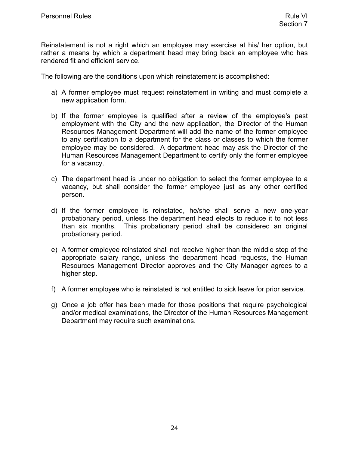<span id="page-29-0"></span>Reinstatement is not a right which an employee may exercise at his/ her option, but rather a means by which a department head may bring back an employee who has rendered fit and efficient service.

The following are the conditions upon which reinstatement is accomplished:

- a) A former employee must request reinstatement in writing and must complete a new application form.
- b) If the former employee is qualified after a review of the employee's past employment with the City and the new application, the Director of the Human Resources Management Department will add the name of the former employee to any certification to a department for the class or classes to which the former employee may be considered. A department head may ask the Director of the Human Resources Management Department to certify only the former employee for a vacancy.
- c) The department head is under no obligation to select the former employee to a vacancy, but shall consider the former employee just as any other certified person.
- d) If the former employee is reinstated, he/she shall serve a new one-year probationary period, unless the department head elects to reduce it to not less than six months. This probationary period shall be considered an original probationary period.
- e) A former employee reinstated shall not receive higher than the middle step of the appropriate salary range, unless the department head requests, the Human Resources Management Director approves and the City Manager agrees to a higher step.
- f) A former employee who is reinstated is not entitled to sick leave for prior service.
- g) Once a job offer has been made for those positions that require psychological and/or medical examinations, the Director of the Human Resources Management Department may require such examinations.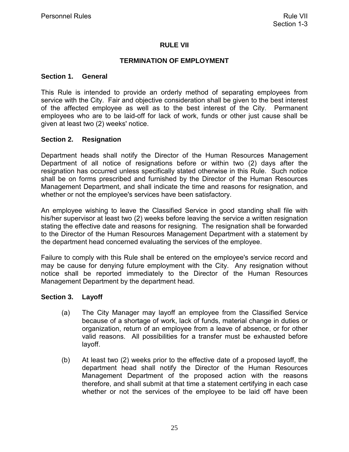#### **RULE VII**

#### **TERMINATION OF EMPLOYMENT**

#### <span id="page-30-0"></span>**Section 1. General**

This Rule is intended to provide an orderly method of separating employees from service with the City. Fair and objective consideration shall be given to the best interest of the affected employee as well as to the best interest of the City. Permanent employees who are to be laid-off for lack of work, funds or other just cause shall be given at least two (2) weeks' notice.

#### **Section 2. Resignation**

Department heads shall notify the Director of the Human Resources Management Department of all notice of resignations before or within two (2) days after the resignation has occurred unless specifically stated otherwise in this Rule. Such notice shall be on forms prescribed and furnished by the Director of the Human Resources Management Department, and shall indicate the time and reasons for resignation, and whether or not the employee's services have been satisfactory.

An employee wishing to leave the Classified Service in good standing shall file with his/her supervisor at least two (2) weeks before leaving the service a written resignation stating the effective date and reasons for resigning. The resignation shall be forwarded to the Director of the Human Resources Management Department with a statement by the department head concerned evaluating the services of the employee.

Failure to comply with this Rule shall be entered on the employee's service record and may be cause for denying future employment with the City. Any resignation without notice shall be reported immediately to the Director of the Human Resources Management Department by the department head.

#### **Section 3. Layoff**

- (a) The City Manager may layoff an employee from the Classified Service because of a shortage of work, lack of funds, material change in duties or organization, return of an employee from a leave of absence, or for other valid reasons. All possibilities for a transfer must be exhausted before layoff.
- (b) At least two (2) weeks prior to the effective date of a proposed layoff, the department head shall notify the Director of the Human Resources Management Department of the proposed action with the reasons therefore, and shall submit at that time a statement certifying in each case whether or not the services of the employee to be laid off have been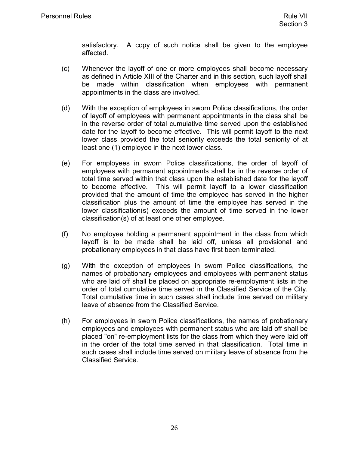satisfactory. A copy of such notice shall be given to the employee affected.

- <span id="page-31-0"></span>(c) Whenever the layoff of one or more employees shall become necessary as defined in Article XIII of the Charter and in this section, such layoff shall be made within classification when employees with permanent appointments in the class are involved.
- (d) With the exception of employees in sworn Police classifications, the order of layoff of employees with permanent appointments in the class shall be in the reverse order of total cumulative time served upon the established date for the layoff to become effective. This will permit layoff to the next lower class provided the total seniority exceeds the total seniority of at least one (1) employee in the next lower class.
- (e) For employees in sworn Police classifications, the order of layoff of employees with permanent appointments shall be in the reverse order of total time served within that class upon the established date for the layoff to become effective. This will permit layoff to a lower classification provided that the amount of time the employee has served in the higher classification plus the amount of time the employee has served in the lower classification(s) exceeds the amount of time served in the lower classification(s) of at least one other employee.
- (f) No employee holding a permanent appointment in the class from which layoff is to be made shall be laid off, unless all provisional and probationary employees in that class have first been terminated.
- (g) With the exception of employees in sworn Police classifications, the names of probationary employees and employees with permanent status who are laid off shall be placed on appropriate re-employment lists in the order of total cumulative time served in the Classified Service of the City. Total cumulative time in such cases shall include time served on military leave of absence from the Classified Service.
- (h) For employees in sworn Police classifications, the names of probationary employees and employees with permanent status who are laid off shall be placed "on" re-employment lists for the class from which they were laid off in the order of the total time served in that classification. Total time in such cases shall include time served on military leave of absence from the Classified Service.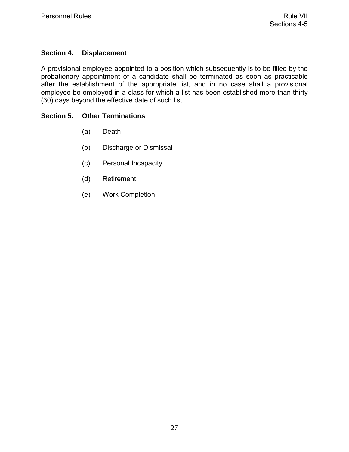#### <span id="page-32-0"></span>**Section 4. Displacement**

A provisional employee appointed to a position which subsequently is to be filled by the probationary appointment of a candidate shall be terminated as soon as practicable after the establishment of the appropriate list, and in no case shall a provisional employee be employed in a class for which a list has been established more than thirty (30) days beyond the effective date of such list.

#### **Section 5. Other Terminations**

- (a) Death
- (b) Discharge or Dismissal
- (c) Personal Incapacity
- (d) Retirement
- (e) Work Completion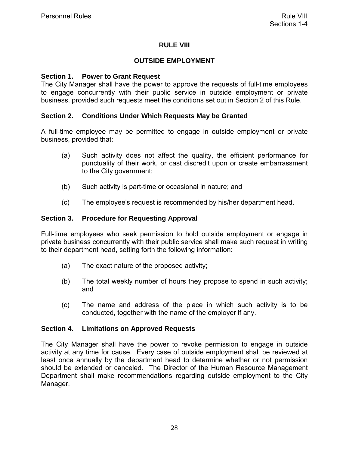#### **RULE VIII**

#### **OUTSIDE EMPLOYMENT**

#### <span id="page-33-0"></span>**Section 1. Power to Grant Request**

The City Manager shall have the power to approve the requests of full-time employees to engage concurrently with their public service in outside employment or private business, provided such requests meet the conditions set out in Section 2 of this Rule.

#### **Section 2. Conditions Under Which Requests May be Granted**

A full-time employee may be permitted to engage in outside employment or private business, provided that:

- (a) Such activity does not affect the quality, the efficient performance for punctuality of their work, or cast discredit upon or create embarrassment to the City government;
- (b) Such activity is part-time or occasional in nature; and
- (c) The employee's request is recommended by his/her department head.

#### **Section 3. Procedure for Requesting Approval**

Full-time employees who seek permission to hold outside employment or engage in private business concurrently with their public service shall make such request in writing to their department head, setting forth the following information:

- (a) The exact nature of the proposed activity;
- (b) The total weekly number of hours they propose to spend in such activity; and
- (c) The name and address of the place in which such activity is to be conducted, together with the name of the employer if any.

#### **Section 4. Limitations on Approved Requests**

The City Manager shall have the power to revoke permission to engage in outside activity at any time for cause. Every case of outside employment shall be reviewed at least once annually by the department head to determine whether or not permission should be extended or canceled. The Director of the Human Resource Management Department shall make recommendations regarding outside employment to the City Manager.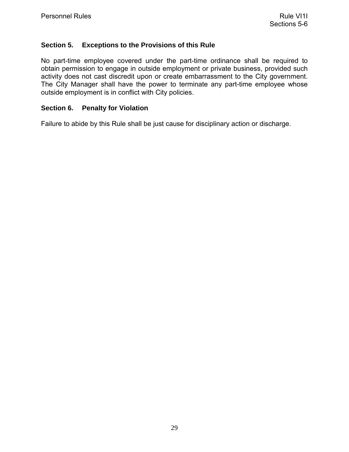#### <span id="page-34-0"></span>**Section 5. Exceptions to the Provisions of this Rule**

No part-time employee covered under the part-time ordinance shall be required to obtain permission to engage in outside employment or private business, provided such activity does not cast discredit upon or create embarrassment to the City government. The City Manager shall have the power to terminate any part-time employee whose outside employment is in conflict with City policies.

#### **Section 6. Penalty for Violation**

Failure to abide by this Rule shall be just cause for disciplinary action or discharge.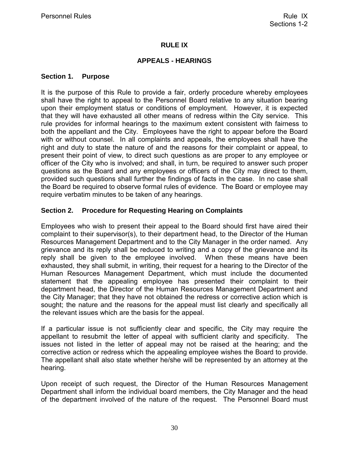#### **RULE IX**

#### **APPEALS - HEARINGS**

#### <span id="page-35-0"></span>**Section 1. Purpose**

It is the purpose of this Rule to provide a fair, orderly procedure whereby employees shall have the right to appeal to the Personnel Board relative to any situation bearing upon their employment status or conditions of employment. However, it is expected that they will have exhausted all other means of redress within the City service. This rule provides for informal hearings to the maximum extent consistent with fairness to both the appellant and the City. Employees have the right to appear before the Board with or without counsel. In all complaints and appeals, the employees shall have the right and duty to state the nature of and the reasons for their complaint or appeal, to present their point of view, to direct such questions as are proper to any employee or officer of the City who is involved; and shall, in turn, be required to answer such proper questions as the Board and any employees or officers of the City may direct to them, provided such questions shall further the findings of facts in the case. In no case shall the Board be required to observe formal rules of evidence. The Board or employee may require verbatim minutes to be taken of any hearings.

#### **Section 2. Procedure for Requesting Hearing on Complaints**

Employees who wish to present their appeal to the Board should first have aired their complaint to their supervisor(s), to their department head, to the Director of the Human Resources Management Department and to the City Manager in the order named. Any grievance and its reply shall be reduced to writing and a copy of the grievance and its reply shall be given to the employee involved. When these means have been exhausted, they shall submit, in writing, their request for a hearing to the Director of the Human Resources Management Department, which must include the documented statement that the appealing employee has presented their complaint to their department head, the Director of the Human Resources Management Department and the City Manager; that they have not obtained the redress or corrective action which is sought; the nature and the reasons for the appeal must list clearly and specifically all the relevant issues which are the basis for the appeal.

If a particular issue is not sufficiently clear and specific, the City may require the appellant to resubmit the letter of appeal with sufficient clarity and specificity. The issues not listed in the letter of appeal may not be raised at the hearing; and the corrective action or redress which the appealing employee wishes the Board to provide. The appellant shall also state whether he/she will be represented by an attorney at the hearing.

Upon receipt of such request, the Director of the Human Resources Management Department shall inform the individual board members, the City Manager and the head of the department involved of the nature of the request. The Personnel Board must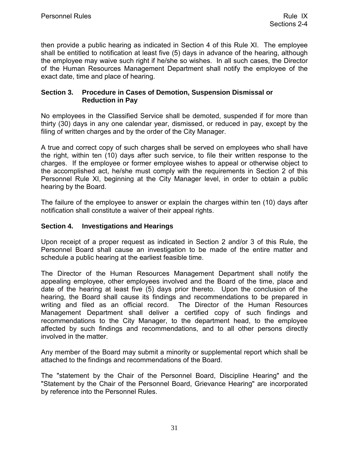<span id="page-36-0"></span>then provide a public hearing as indicated in Section 4 of this Rule XI. The employee shall be entitled to notification at least five (5) days in advance of the hearing, although the employee may waive such right if he/she so wishes. In all such cases, the Director of the Human Resources Management Department shall notify the employee of the exact date, time and place of hearing.

#### **Section 3. Procedure in Cases of Demotion, Suspension Dismissal or Reduction in Pay**

No employees in the Classified Service shall be demoted, suspended if for more than thirty (30) days in any one calendar year, dismissed, or reduced in pay, except by the filing of written charges and by the order of the City Manager.

A true and correct copy of such charges shall be served on employees who shall have the right, within ten (10) days after such service, to file their written response to the charges. If the employee or former employee wishes to appeal or otherwise object to the accomplished act, he/she must comply with the requirements in Section 2 of this Personnel Rule XI, beginning at the City Manager level, in order to obtain a public hearing by the Board.

The failure of the employee to answer or explain the charges within ten (10) days after notification shall constitute a waiver of their appeal rights.

#### **Section 4. Investigations and Hearings**

Upon receipt of a proper request as indicated in Section 2 and/or 3 of this Rule, the Personnel Board shall cause an investigation to be made of the entire matter and schedule a public hearing at the earliest feasible time.

The Director of the Human Resources Management Department shall notify the appealing employee, other employees involved and the Board of the time, place and date of the hearing at least five (5) days prior thereto. Upon the conclusion of the hearing, the Board shall cause its findings and recommendations to be prepared in writing and filed as an official record. The Director of the Human Resources Management Department shall deliver a certified copy of such findings and recommendations to the City Manager, to the department head, to the employee affected by such findings and recommendations, and to all other persons directly involved in the matter.

Any member of the Board may submit a minority or supplemental report which shall be attached to the findings and recommendations of the Board.

The "statement by the Chair of the Personnel Board, Discipline Hearing" and the "Statement by the Chair of the Personnel Board, Grievance Hearing" are incorporated by reference into the Personnel Rules.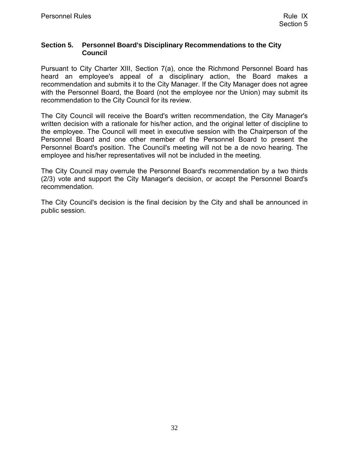#### <span id="page-37-0"></span>**Section 5. Personnel Board's Disciplinary Recommendations to the City Council**

Pursuant to City Charter XIII, Section 7(a), once the Richmond Personnel Board has heard an employee's appeal of a disciplinary action, the Board makes a recommendation and submits it to the City Manager. If the City Manager does not agree with the Personnel Board, the Board (not the employee nor the Union) may submit its recommendation to the City Council for its review.

The City Council will receive the Board's written recommendation, the City Manager's written decision with a rationale for his/her action, and the original letter of discipline to the employee. The Council will meet in executive session with the Chairperson of the Personnel Board and one other member of the Personnel Board to present the Personnel Board's position. The Council's meeting will not be a de novo hearing. The employee and his/her representatives will not be included in the meeting.

The City Council may overrule the Personnel Board's recommendation by a two thirds (2/3) vote and support the City Manager's decision, or accept the Personnel Board's recommendation.

The City Council's decision is the final decision by the City and shall be announced in public session.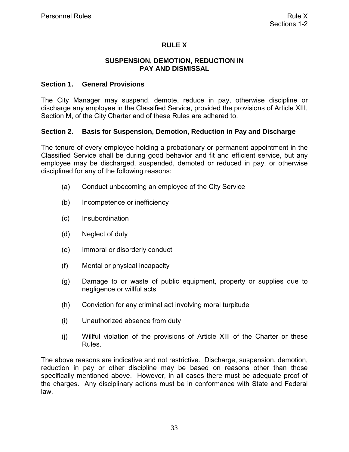#### **RULE X**

#### **SUSPENSION, DEMOTION, REDUCTION IN PAY AND DISMISSAL**

#### <span id="page-38-0"></span>**Section 1. General Provisions**

The City Manager may suspend, demote, reduce in pay, otherwise discipline or discharge any employee in the Classified Service, provided the provisions of Article XIII, Section M, of the City Charter and of these Rules are adhered to.

#### **Section 2. Basis for Suspension, Demotion, Reduction in Pay and Discharge**

The tenure of every employee holding a probationary or permanent appointment in the Classified Service shall be during good behavior and fit and efficient service, but any employee may be discharged, suspended, demoted or reduced in pay, or otherwise disciplined for any of the following reasons:

- (a) Conduct unbecoming an employee of the City Service
- (b) Incompetence or inefficiency
- (c) Insubordination
- (d) Neglect of duty
- (e) Immoral or disorderly conduct
- (f) Mental or physical incapacity
- (g) Damage to or waste of public equipment, property or supplies due to negligence or willful acts
- (h) Conviction for any criminal act involving moral turpitude
- (i) Unauthorized absence from duty
- (j) Willful violation of the provisions of Article XIII of the Charter or these Rules.

The above reasons are indicative and not restrictive. Discharge, suspension, demotion, reduction in pay or other discipline may be based on reasons other than those specifically mentioned above. However, in all cases there must be adequate proof of the charges. Any disciplinary actions must be in conformance with State and Federal law.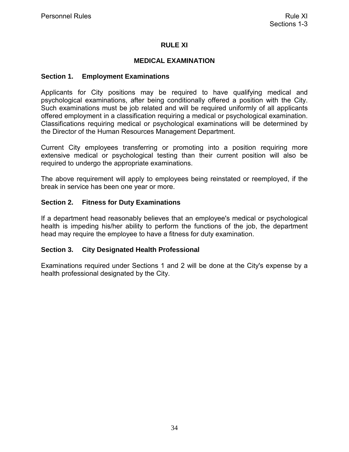#### **RULE XI**

#### **MEDICAL EXAMINATION**

#### <span id="page-39-0"></span>**Section 1. Employment Examinations**

Applicants for City positions may be required to have qualifying medical and psychological examinations, after being conditionally offered a position with the City. Such examinations must be job related and will be required uniformly of all applicants offered employment in a classification requiring a medical or psychological examination. Classifications requiring medical or psychological examinations will be determined by the Director of the Human Resources Management Department.

Current City employees transferring or promoting into a position requiring more extensive medical or psychological testing than their current position will also be required to undergo the appropriate examinations.

The above requirement will apply to employees being reinstated or reemployed, if the break in service has been one year or more.

#### **Section 2. Fitness for Duty Examinations**

If a department head reasonably believes that an employee's medical or psychological health is impeding his/her ability to perform the functions of the job, the department head may require the employee to have a fitness for duty examination.

#### **Section 3. City Designated Health Professional**

Examinations required under Sections 1 and 2 will be done at the City's expense by a health professional designated by the City.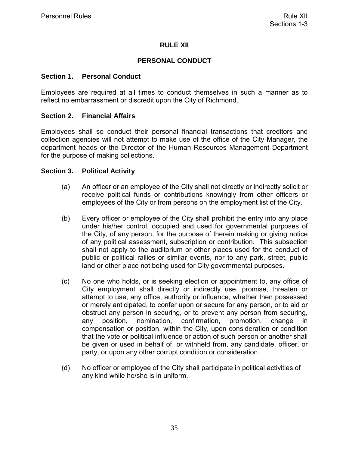#### **RULE XII**

#### **PERSONAL CONDUCT**

#### <span id="page-40-0"></span>**Section 1. Personal Conduct**

Employees are required at all times to conduct themselves in such a manner as to reflect no embarrassment or discredit upon the City of Richmond.

#### **Section 2. Financial Affairs**

Employees shall so conduct their personal financial transactions that creditors and collection agencies will not attempt to make use of the office of the City Manager, the department heads or the Director of the Human Resources Management Department for the purpose of making collections.

#### **Section 3. Political Activity**

- (a) An officer or an employee of the City shall not directly or indirectly solicit or receive political funds or contributions knowingly from other officers or employees of the City or from persons on the employment list of the City.
- (b) Every officer or employee of the City shall prohibit the entry into any place under his/her control, occupied and used for governmental purposes of the City, of any person, for the purpose of therein making or giving notice of any political assessment, subscription or contribution. This subsection shall not apply to the auditorium or other places used for the conduct of public or political rallies or similar events, nor to any park, street, public land or other place not being used for City governmental purposes.
- (c) No one who holds, or is seeking election or appointment to, any office of City employment shall directly or indirectly use, promise, threaten or attempt to use, any office, authority or influence, whether then possessed or merely anticipated, to confer upon or secure for any person, or to aid or obstruct any person in securing, or to prevent any person from securing, any position, nomination, confirmation, promotion, change compensation or position, within the City, upon consideration or condition that the vote or political influence or action of such person or another shall be given or used in behalf of, or withheld from, any candidate, officer, or party, or upon any other corrupt condition or consideration.
- (d) No officer or employee of the City shall participate in political activities of any kind while he/she is in uniform.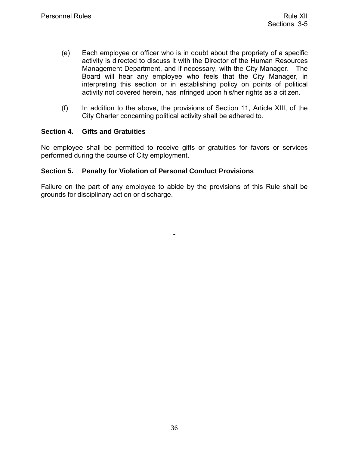- <span id="page-41-0"></span>(e) Each employee or officer who is in doubt about the propriety of a specific activity is directed to discuss it with the Director of the Human Resources Management Department, and if necessary, with the City Manager. The Board will hear any employee who feels that the City Manager, in interpreting this section or in establishing policy on points of political activity not covered herein, has infringed upon his/her rights as a citizen.
- (f) In addition to the above, the provisions of Section 11, Article XIII, of the City Charter concerning political activity shall be adhered to.

#### **Section 4. Gifts and Gratuities**

No employee shall be permitted to receive gifts or gratuities for favors or services performed during the course of City employment.

#### **Section 5. Penalty for Violation of Personal Conduct Provisions**

Failure on the part of any employee to abide by the provisions of this Rule shall be grounds for disciplinary action or discharge.

-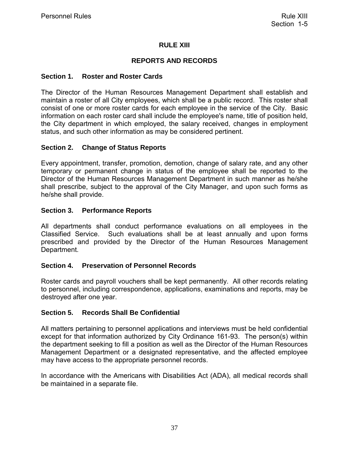#### **RULE XIII**

#### **REPORTS AND RECORDS**

#### <span id="page-42-0"></span>**Section 1. Roster and Roster Cards**

The Director of the Human Resources Management Department shall establish and maintain a roster of all City employees, which shall be a public record. This roster shall consist of one or more roster cards for each employee in the service of the City. Basic information on each roster card shall include the employee's name, title of position held, the City department in which employed, the salary received, changes in employment status, and such other information as may be considered pertinent.

#### **Section 2. Change of Status Reports**

Every appointment, transfer, promotion, demotion, change of salary rate, and any other temporary or permanent change in status of the employee shall be reported to the Director of the Human Resources Management Department in such manner as he/she shall prescribe, subject to the approval of the City Manager, and upon such forms as he/she shall provide.

#### **Section 3. Performance Reports**

All departments shall conduct performance evaluations on all employees in the Classified Service. Such evaluations shall be at least annually and upon forms prescribed and provided by the Director of the Human Resources Management Department.

#### **Section 4. Preservation of Personnel Records**

Roster cards and payroll vouchers shall be kept permanently. All other records relating to personnel, including correspondence, applications, examinations and reports, may be destroyed after one year.

#### **Section 5. Records Shall Be Confidential**

All matters pertaining to personnel applications and interviews must be held confidential except for that information authorized by City Ordinance 161-93. The person(s) within the department seeking to fill a position as well as the Director of the Human Resources Management Department or a designated representative, and the affected employee may have access to the appropriate personnel records.

In accordance with the Americans with Disabilities Act (ADA), all medical records shall be maintained in a separate file.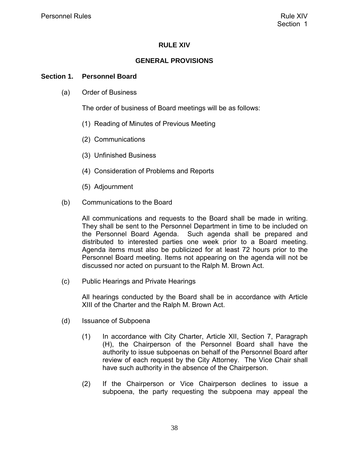#### **RULE XIV**

#### **GENERAL PROVISIONS**

#### <span id="page-43-0"></span>**Section 1. Personnel Board**

(a) Order of Business

The order of business of Board meetings will be as follows:

- (1) Reading of Minutes of Previous Meeting
- (2) Communications
- (3) Unfinished Business
- (4) Consideration of Problems and Reports
- (5) Adjournment
- (b) Communications to the Board

All communications and requests to the Board shall be made in writing. They shall be sent to the Personnel Department in time to be included on the Personnel Board Agenda. Such agenda shall be prepared and distributed to interested parties one week prior to a Board meeting. Agenda items must also be publicized for at least 72 hours prior to the Personnel Board meeting. Items not appearing on the agenda will not be discussed nor acted on pursuant to the Ralph M. Brown Act.

(c) Public Hearings and Private Hearings

All hearings conducted by the Board shall be in accordance with Article XIII of the Charter and the Ralph M. Brown Act.

- (d) Issuance of Subpoena
	- (1) In accordance with City Charter, Article XII, Section 7, Paragraph (H), the Chairperson of the Personnel Board shall have the authority to issue subpoenas on behalf of the Personnel Board after review of each request by the City Attorney. The Vice Chair shall have such authority in the absence of the Chairperson.
	- (2) If the Chairperson or Vice Chairperson declines to issue a subpoena, the party requesting the subpoena may appeal the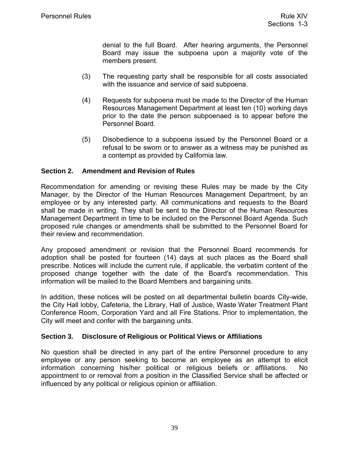denial to the full Board. After hearing arguments, the Personnel Board may issue the subpoena upon a majority vote of the members present.

- <span id="page-44-0"></span>(3) The requesting party shall be responsible for all costs associated with the issuance and service of said subpoena.
- (4) Requests for subpoena must be made to the Director of the Human Resources Management Department at least ten (10) working days prior to the date the person subpoenaed is to appear before the Personnel Board.
- (5) Disobedience to a subpoena issued by the Personnel Board or a refusal to be sworn or to answer as a witness may be punished as a contempt as provided by California law.

#### **Section 2. Amendment and Revision of Rules**

Recommendation for amending or revising these Rules may be made by the City Manager, by the Director of the Human Resources Management Department, by an employee or by any interested party. All communications and requests to the Board shall be made in writing. They shall be sent to the Director of the Human Resources Management Department in time to be included on the Personnel Board Agenda. Such proposed rule changes or amendments shall be submitted to the Personnel Board for their review and recommendation.

Any proposed amendment or revision that the Personnel Board recommends for adoption shall be posted for fourteen (14) days at such places as the Board shall prescribe. Notices will include the current rule, if applicable, the verbatim content of the proposed change together with the date of the Board's recommendation. This information will be mailed to the Board Members and bargaining units.

In addition, these notices will be posted on all departmental bulletin boards City-wide, the City Hall lobby, Cafeteria, the Library, Hall of Justice, Waste Water Treatment Plant Conference Room, Corporation Yard and all Fire Stations. Prior to implementation, the City will meet and confer with the bargaining units.

#### **Section 3. Disclosure of Religious or Political Views or Affiliations**

No question shall be directed in any part of the entire Personnel procedure to any employee or any person seeking to become an employee as an attempt to elicit information concerning his/her political or religious beliefs or affiliations. No appointment to or removal from a position in the Classified Service shall be affected or influenced by any political or religious opinion or affiliation.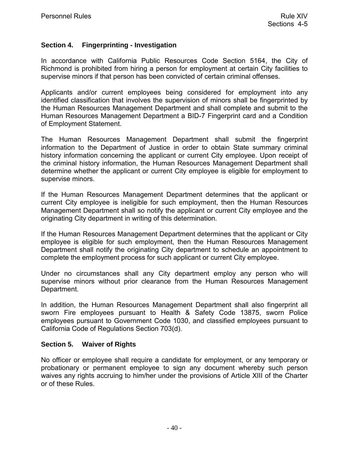#### <span id="page-45-0"></span>**Section 4. Fingerprinting - Investigation**

In accordance with California Public Resources Code Section 5164, the City of Richmond is prohibited from hiring a person for employment at certain City facilities to supervise minors if that person has been convicted of certain criminal offenses.

Applicants and/or current employees being considered for employment into any identified classification that involves the supervision of minors shall be fingerprinted by the Human Resources Management Department and shall complete and submit to the Human Resources Management Department a BID-7 Fingerprint card and a Condition of Employment Statement.

The Human Resources Management Department shall submit the fingerprint information to the Department of Justice in order to obtain State summary criminal history information concerning the applicant or current City employee. Upon receipt of the criminal history information, the Human Resources Management Department shall determine whether the applicant or current City employee is eligible for employment to supervise minors.

If the Human Resources Management Department determines that the applicant or current City employee is ineligible for such employment, then the Human Resources Management Department shall so notify the applicant or current City employee and the originating City department in writing of this determination.

If the Human Resources Management Department determines that the applicant or City employee is eligible for such employment, then the Human Resources Management Department shall notify the originating City department to schedule an appointment to complete the employment process for such applicant or current City employee.

Under no circumstances shall any City department employ any person who will supervise minors without prior clearance from the Human Resources Management Department.

In addition, the Human Resources Management Department shall also fingerprint all sworn Fire employees pursuant to Health & Safety Code 13875, sworn Police employees pursuant to Government Code 1030, and classified employees pursuant to California Code of Regulations Section 703(d).

#### **Section 5. Waiver of Rights**

No officer or employee shall require a candidate for employment, or any temporary or probationary or permanent employee to sign any document whereby such person waives any rights accruing to him/her under the provisions of Article XIII of the Charter or of these Rules.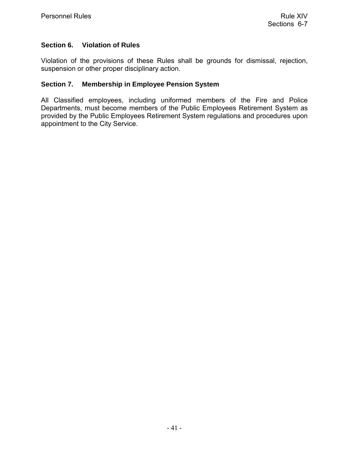#### <span id="page-46-0"></span>**Section 6. Violation of Rules**

Violation of the provisions of these Rules shall be grounds for dismissal, rejection, suspension or other proper disciplinary action.

#### **Section 7. Membership in Employee Pension System**

All Classified employees, including uniformed members of the Fire and Police Departments, must become members of the Public Employees Retirement System as provided by the Public Employees Retirement System regulations and procedures upon appointment to the City Service.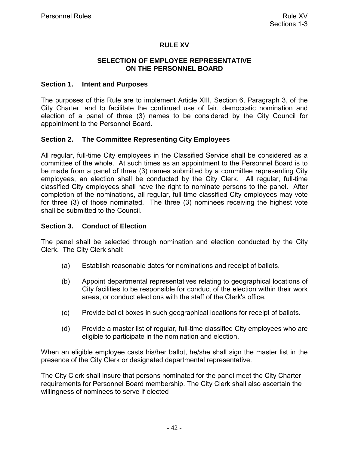#### **RULE XV**

#### **SELECTION OF EMPLOYEE REPRESENTATIVE ON THE PERSONNEL BOARD**

#### <span id="page-47-0"></span>**Section 1. Intent and Purposes**

The purposes of this Rule are to implement Article XIII, Section 6, Paragraph 3, of the City Charter, and to facilitate the continued use of fair, democratic nomination and election of a panel of three (3) names to be considered by the City Council for appointment to the Personnel Board.

#### **Section 2. The Committee Representing City Employees**

All regular, full-time City employees in the Classified Service shall be considered as a committee of the whole. At such times as an appointment to the Personnel Board is to be made from a panel of three (3) names submitted by a committee representing City employees, an election shall be conducted by the City Clerk. All regular, full-time classified City employees shall have the right to nominate persons to the panel. After completion of the nominations, all regular, full-time classified City employees may vote for three (3) of those nominated. The three (3) nominees receiving the highest vote shall be submitted to the Council.

#### **Section 3. Conduct of Election**

The panel shall be selected through nomination and election conducted by the City Clerk. The City Clerk shall:

- (a) Establish reasonable dates for nominations and receipt of ballots.
- (b) Appoint departmental representatives relating to geographical locations of City facilities to be responsible for conduct of the election within their work areas, or conduct elections with the staff of the Clerk's office.
- (c) Provide ballot boxes in such geographical locations for receipt of ballots.
- (d) Provide a master list of regular, full-time classified City employees who are eligible to participate in the nomination and election.

When an eligible employee casts his/her ballot, he/she shall sign the master list in the presence of the City Clerk or designated departmental representative.

The City Clerk shall insure that persons nominated for the panel meet the City Charter requirements for Personnel Board membership. The City Clerk shall also ascertain the willingness of nominees to serve if elected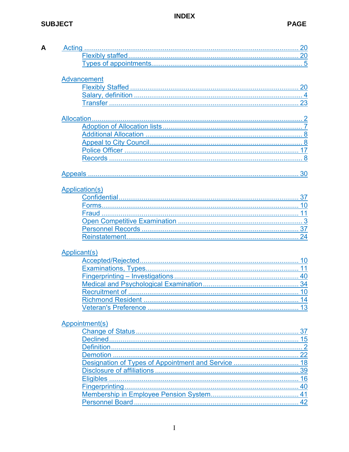## **INDEX**

## **SUBJECT**

|  | ×<br>v |  |
|--|--------|--|

| <b>Advancement</b>    |  |
|-----------------------|--|
|                       |  |
|                       |  |
|                       |  |
|                       |  |
|                       |  |
|                       |  |
|                       |  |
|                       |  |
|                       |  |
|                       |  |
|                       |  |
|                       |  |
| <b>Application(s)</b> |  |
|                       |  |
|                       |  |
|                       |  |
|                       |  |
|                       |  |
|                       |  |
| <b>Applicant(s)</b>   |  |
|                       |  |
|                       |  |
|                       |  |
|                       |  |
|                       |  |
|                       |  |
|                       |  |
|                       |  |
| Appointment(s)        |  |
|                       |  |
|                       |  |
|                       |  |
| <b>Demotion</b>       |  |
|                       |  |
|                       |  |
|                       |  |
|                       |  |
|                       |  |
|                       |  |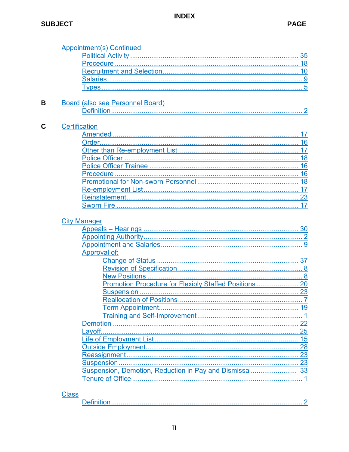## **INDEX**

| <b>Appointment(s) Continued</b>     |    |
|-------------------------------------|----|
|                                     |    |
|                                     |    |
|                                     |    |
|                                     |    |
|                                     |    |
|                                     |    |
| Board (also see Personnel Board)    |    |
|                                     |    |
| <b>Certification</b>                |    |
|                                     |    |
|                                     |    |
|                                     |    |
|                                     |    |
|                                     |    |
|                                     |    |
|                                     |    |
|                                     |    |
|                                     |    |
|                                     |    |
|                                     |    |
|                                     |    |
|                                     |    |
|                                     |    |
| <b>City Manager</b><br>Approval of: |    |
|                                     |    |
|                                     |    |
|                                     |    |
|                                     |    |
|                                     |    |
|                                     |    |
|                                     |    |
|                                     |    |
|                                     | 22 |
|                                     | 25 |
|                                     |    |
|                                     | 15 |
|                                     |    |
|                                     |    |
|                                     |    |

## **Class**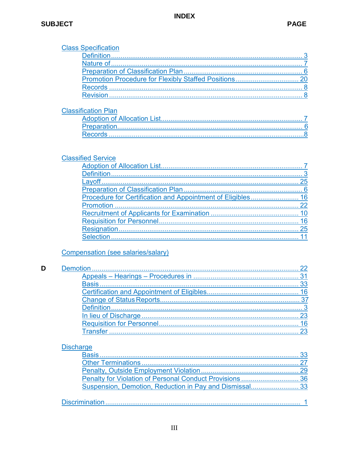$\mathbf D$ 

<span id="page-50-0"></span>

|                  | <b>Class Specification</b>                               |    |
|------------------|----------------------------------------------------------|----|
|                  |                                                          |    |
|                  |                                                          |    |
|                  |                                                          |    |
|                  |                                                          |    |
|                  |                                                          |    |
|                  |                                                          |    |
|                  | <b>Classification Plan</b>                               |    |
|                  |                                                          |    |
|                  |                                                          |    |
|                  |                                                          |    |
|                  |                                                          |    |
|                  | <b>Classified Service</b>                                |    |
|                  |                                                          |    |
|                  |                                                          |    |
|                  |                                                          |    |
|                  |                                                          |    |
|                  |                                                          |    |
|                  |                                                          |    |
|                  |                                                          | 10 |
|                  |                                                          |    |
|                  |                                                          |    |
|                  |                                                          |    |
|                  | Compensation (see salaries/salary)                       |    |
|                  |                                                          | 22 |
|                  |                                                          |    |
|                  |                                                          |    |
|                  |                                                          |    |
|                  |                                                          |    |
|                  |                                                          |    |
|                  |                                                          |    |
|                  |                                                          |    |
|                  |                                                          |    |
|                  |                                                          |    |
| <b>Discharge</b> |                                                          |    |
|                  |                                                          | 33 |
|                  |                                                          |    |
|                  |                                                          |    |
|                  | Penalty for Violation of Personal Conduct Provisions  36 |    |
|                  |                                                          |    |
|                  |                                                          |    |
|                  |                                                          |    |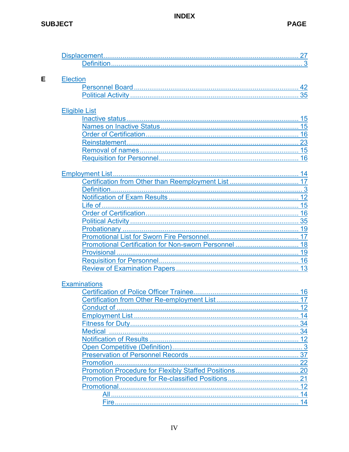<span id="page-51-0"></span>

| <b>Election</b>      |              |
|----------------------|--------------|
|                      |              |
|                      |              |
| <b>Eligible List</b> |              |
|                      |              |
|                      |              |
|                      |              |
|                      |              |
|                      |              |
|                      |              |
|                      |              |
|                      |              |
|                      |              |
|                      |              |
|                      |              |
|                      |              |
|                      |              |
|                      |              |
|                      |              |
|                      |              |
|                      |              |
|                      |              |
|                      |              |
|                      |              |
|                      |              |
| <b>Examinations</b>  |              |
|                      |              |
|                      |              |
|                      |              |
|                      |              |
| <b>Medical</b>       |              |
|                      |              |
|                      |              |
|                      |              |
|                      |              |
|                      |              |
|                      |              |
|                      |              |
|                      |              |
| All.                 | 12<br>. . 14 |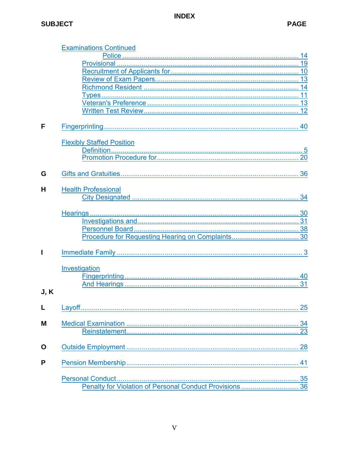## **INDEX**

|      | <b>Examinations Continued</b>    |    |
|------|----------------------------------|----|
|      |                                  | 14 |
|      |                                  |    |
|      |                                  |    |
|      |                                  |    |
|      |                                  |    |
|      |                                  |    |
|      |                                  |    |
|      |                                  |    |
| F    |                                  |    |
|      | <b>Flexibly Staffed Position</b> |    |
|      |                                  |    |
|      |                                  |    |
| G    |                                  |    |
|      |                                  |    |
| н    | <b>Health Professional</b>       |    |
|      |                                  |    |
|      |                                  |    |
|      |                                  |    |
|      |                                  |    |
|      |                                  |    |
| I    |                                  |    |
|      | Investigation                    |    |
|      |                                  |    |
|      |                                  |    |
| J, K |                                  |    |
|      |                                  |    |
|      |                                  |    |
| М    |                                  |    |
|      |                                  |    |
| O    |                                  |    |
| P    |                                  |    |
|      |                                  |    |
|      |                                  |    |
|      |                                  |    |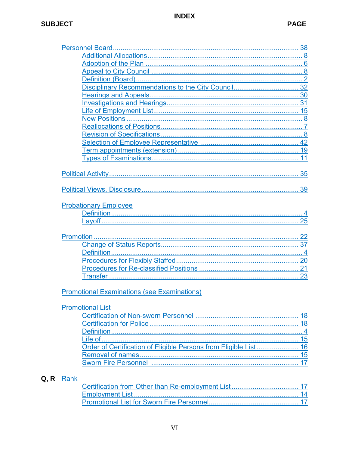## **SUBJECT**

| <b>Probationary Employee</b>                       |  |
|----------------------------------------------------|--|
|                                                    |  |
|                                                    |  |
|                                                    |  |
|                                                    |  |
|                                                    |  |
|                                                    |  |
|                                                    |  |
|                                                    |  |
|                                                    |  |
|                                                    |  |
|                                                    |  |
| <b>Promotional Examinations (see Examinations)</b> |  |
|                                                    |  |
| <b>Promotional List</b>                            |  |
|                                                    |  |
|                                                    |  |
|                                                    |  |
| Life of…………………………………………………………………………………………          |  |
|                                                    |  |
|                                                    |  |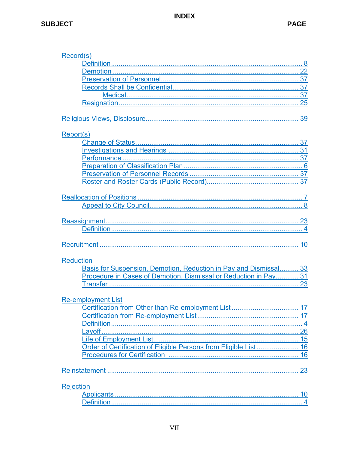| Record(s)                                                         |    |
|-------------------------------------------------------------------|----|
|                                                                   |    |
|                                                                   |    |
|                                                                   |    |
|                                                                   |    |
|                                                                   |    |
|                                                                   |    |
|                                                                   |    |
|                                                                   |    |
| Report(s)                                                         |    |
|                                                                   |    |
|                                                                   |    |
|                                                                   |    |
|                                                                   |    |
|                                                                   |    |
|                                                                   |    |
|                                                                   |    |
|                                                                   |    |
|                                                                   |    |
|                                                                   |    |
|                                                                   |    |
|                                                                   |    |
|                                                                   |    |
|                                                                   |    |
|                                                                   |    |
| <b>Reduction</b>                                                  |    |
|                                                                   |    |
| Basis for Suspension, Demotion, Reduction in Pay and Dismissal 33 |    |
| Procedure in Cases of Demotion, Dismissal or Reduction in Pay 31  |    |
|                                                                   |    |
|                                                                   |    |
| <b>Re-employment List</b>                                         |    |
| Certification from Other than Re-employment List                  | 17 |
|                                                                   |    |
|                                                                   |    |
|                                                                   |    |
|                                                                   |    |
| Order of Certification of Eligible Persons from Eligible List 16  |    |
|                                                                   |    |
|                                                                   |    |
|                                                                   |    |
|                                                                   |    |
| <b>Rejection</b>                                                  |    |
|                                                                   |    |
| <b>Definition</b>                                                 |    |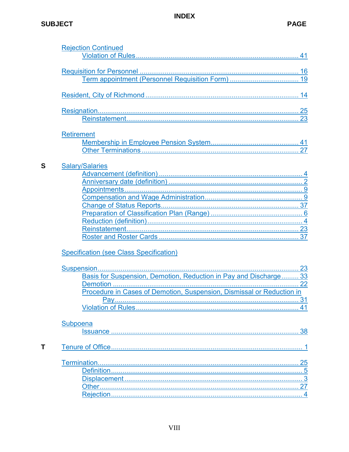## <span id="page-55-0"></span>**SUBJECT**

 $\mathbf S$ 

 $\bar{L}$ 

|                   | <b>Rejection Continued</b>                                            |  |
|-------------------|-----------------------------------------------------------------------|--|
|                   |                                                                       |  |
|                   |                                                                       |  |
|                   |                                                                       |  |
|                   |                                                                       |  |
|                   |                                                                       |  |
|                   |                                                                       |  |
|                   |                                                                       |  |
| <b>Retirement</b> |                                                                       |  |
|                   |                                                                       |  |
|                   |                                                                       |  |
|                   |                                                                       |  |
|                   | <b>Salary/Salaries</b>                                                |  |
|                   |                                                                       |  |
|                   |                                                                       |  |
|                   |                                                                       |  |
|                   |                                                                       |  |
|                   |                                                                       |  |
|                   |                                                                       |  |
|                   |                                                                       |  |
|                   |                                                                       |  |
|                   |                                                                       |  |
|                   |                                                                       |  |
|                   | Specification (see Class Specification)                               |  |
|                   |                                                                       |  |
|                   | Basis for Suspension, Demotion, Reduction in Pay and Discharge 33     |  |
|                   |                                                                       |  |
|                   | Procedure in Cases of Demotion, Suspension, Dismissal or Reduction in |  |
|                   |                                                                       |  |
|                   |                                                                       |  |
|                   |                                                                       |  |
| Subpoena          |                                                                       |  |
|                   |                                                                       |  |
|                   |                                                                       |  |
|                   |                                                                       |  |
|                   |                                                                       |  |
|                   |                                                                       |  |
|                   |                                                                       |  |
|                   |                                                                       |  |
|                   |                                                                       |  |